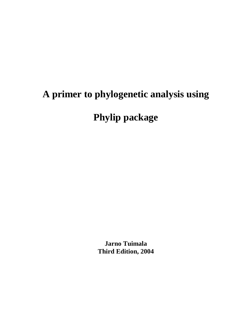# **A primer to phylogenetic analysis using Phylip package**

**Jarno Tuimala Third Edition, 2004**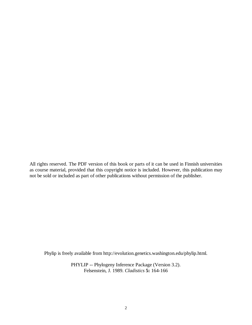All rights reserved. The PDF version of this book or parts of it can be used in Finnish universities as course material, provided that this copyright notice is included. However, this publication may not be sold or included as part of other publications without permission of the publisher.

Phylip is freely available from http://evolution.genetics.washington.edu/phylip.html.

PHYLIP -- Phylogeny Inference Package (Version 3.2). Felsenstein, J. 1989. *Cladistics* **5:** 164-166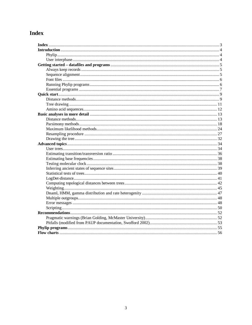# Index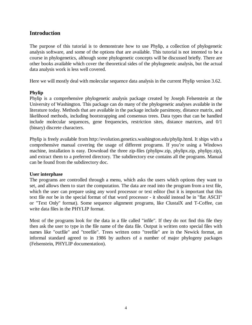## **Introduction**

The purpose of this tutorial is to demonstrate how to use Phylip, a collection of phylogenetic analysis software, and some of the options that are available. This tutorial is not intented to be a course in phylogenetics, although some phylogenetic concepts will be discussed briefly. There are other books available which cover the theoretical sides of the phylogenetic analysis, but the actual data analysis work is less well covered.

Here we will mostly deal with molecular sequence data analysis in the current Phylip version 3.62.

#### **Phylip**

Phylip is a comprehensive phylogenetic analysis package created by Joseph Felsenstein at the University of Washington. This package can do many of the phylogenetic analyses available in the literature today. Methods that are available in the package include parsimony, distance matrix, and likelihood methods, including bootstrapping and consensus trees. Data types that can be handled include molecular sequences, gene frequencies, restriction sites, distance matrices, and 0/1 (binary) discrete characters.

Phylip is freely available from http://evolution.genetics.washington.edu/phylip.html. It ships with a comprehensive manual covering the usage of different programs. If you're using a Windows machine, installation is easy. Download the three zip-files (phylipw.zip, phylipx.zip, phylipy.zip), and extract them to a preferred directory. The subdirectory exe contains all the programs. Manual can be found from the subdirectory doc.

#### **User interphase**

The programs are controlled through a menu, which asks the users which options they want to set, and allows them to start the computation. The data are read into the program from a text file, which the user can prepare using any word processor or text editor (but it is important that this text file *not* be in the special format of that word processor - it should instead be in "flat ASCII" or "Text Only" format). Some sequence alignment programs, like ClustalX and T-Coffee, can write data files in the PHYLIP format.

Most of the programs look for the data in a file called "infile". If they do not find this file they then ask the user to type in the file name of the data file. Output is written onto special files with names like "outfile" and "treefile". Trees written onto "treefile" are in the Newick format, an informal standard agreed to in 1986 by authors of a number of major phylogeny packages (Felsenstein, PHYLIP documentation).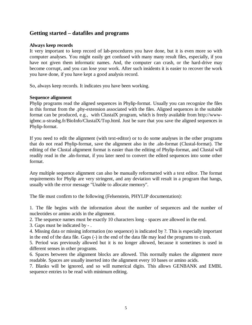## **Getting started – datafiles and programs**

#### **Always keep records**

It very important to keep record of lab-procedures you have done, but it is even more so with computer analyses. You might easily get confused with many many result files, especially, if you have not given them informatic names. And, the computer can crash, or the hard-drive may become corrupt, and you can lose your work. After such insidents it is easier to recover the work you have done, if you have kept a good analysis record.

So, always keep records. It indicates you have been working.

#### **Sequence alignment**

Phylip programs read the aligned sequences in Phylip-format. Usually you can recognize the files in this format from the .phy-extension associated with the files. Aligned sequences in the suitable format can be produced, e.g., with ClustalX program, which is freely available from http://wwwigbmc.u-strasbg.fr/BioInfo/ClustalX/Top.html. Just be sure that you save the aligned sequences in Phylip-format.

If you need to edit the alignment (with text-editor) or to do some analyses in the other programs that do not read Phylip-format, save the alignment also in the .aln-format (Clustal-format). The editing of the Clustal alignment format is easier than the editing of Phylip-format, and Clustal will readily read in the .aln-format, if you later need to convert the edited sequences into some other format.

Any multiple sequence alignment can also be manually reformatted with a text editor. The format requirements for Phylip are very stringent, and any deviation will result in a program that hangs, usually with the error message "Unable to allocate memory".

The file must confirm to the following (Felsenstein, PHYLIP documentation):

1. The file begins with the information about the number of sequences and the number of nucleotides or amino acids in the alignment.

2. The sequence names must be exactly 10 characters long - spaces are allowed in the end.

3. Gaps must be indicated by - .

4. Missing data or missing information (no sequence) is indicated by ?. This is especially important in the end of the data file. Gaps (-) in the end of the data file may lead the programs to crash.

5. Period was previously allowed but it is no longer allowed, because it sometimes is used in different senses in other programs.

6. Spaces between the alignment blocks are allowed. This normally makes the alignment more readable. Spaces are usually inserted into the alignment every 10 bases or amino acids.

7. Blanks will be ignored, and so will numerical digits. This allows GENBANK and EMBL sequence entries to be read with minimum editing.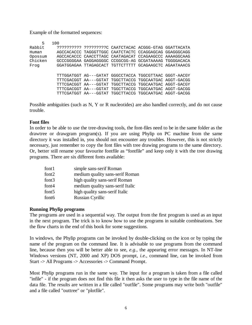Example of the formatted sequences:

| 5       | 100 |                                                        |  |  |
|---------|-----|--------------------------------------------------------|--|--|
| Rabbit  |     | ?????????? ?????????C CAATCTACAC ACGGG-GTAG GGATTACATA |  |  |
| Human   |     | AGCCACACCC TAGGGTTGGC CAATCTACTC CCAGGAGCAG GGAGGGCAGG |  |  |
| Opossum |     | AGCCACACCC CAACCTTAGC CAATAGACAT CCAGAAGCCC AAAAGGCAAG |  |  |
| Chicken |     | GCCCGGGGAA GAGGAGGGGC CCGGCGG-AG GCGATAAAAG TGGGGACACA |  |  |
| Frog    |     | GGATGGAGAA TTAGAGCACT TGTTCTTTTT GCAGAAGCTC AGAATAAACG |  |  |
|         |     |                                                        |  |  |
|         |     | TTTGGATGGT AG---GATAT GGGCCTACCA TGGCGTTAAC GGGT-AACGY |  |  |
|         |     | TTTCGACGGT AA---GGTAT TGGCTTACCG TGGCAATGAC AGGT-GACGG |  |  |
|         |     | TTTCGACGGT AA---GGTAT TGGCTTACCG TGGCAATGAC AGGT-GACGY |  |  |
|         |     | TTTCGACGGT AA---GGTAT TGGCTTACCG TGGCAATGAC AGGT-GACGG |  |  |
|         |     | TTTCGATGGT AA---GGTAT TGGCTTACCG TGGCAATGAC AGGT-GACGG |  |  |

Possible ambiguities (such as N, Y or R nucleotides) are also handled correctly, and do not cause trouble.

#### **Font files**

In order to be able to use the tree-drawing tools, the font-files need to be in the same folder as the drawtree or drawgram program(s). If you are using Phylip on PC machine from the same directory it was installed in, you should not encounter any troubles. However, this is not strictly necessary, just remember to copy the font files with tree drawing programs to the same directory. Or, better still rename your favourite fontfile as "fontfile" and keep only it with the tree drawing programs. There are six different fonts available:

| font1             | simple sans-serif Roman          |
|-------------------|----------------------------------|
| font $2$          | medium quality sans-serif Roman  |
| font $3$          | high quality sans-serif Roman    |
| font4             | medium quality sans-serif Italic |
| font <sub>5</sub> | high quality sans-serif Italic   |
| font <sub>6</sub> | <b>Russian Cyrillic</b>          |

#### **Running Phylip programs**

The programs are used in a sequential way. The output from the first program is used as an input in the next program. The trick is to know how to use the programs in suitable combinations. See the flow charts in the end of this book for some suggestions.

In windows, the Phylip programs can be invoked by double-clicking on the icon or by typing the name of the program on the command line. It is advisable to use programs from the command line, because then you will be better able to see, *e.g.*, the appearing error messages. In NT-line Windows versions (NT, 2000 and XP) DOS prompt, *i.e.*, command line, can be invoked from Start -> All Programs -> Accessories -> Command Prompt.

Most Phylip programs run in the same way. The input for a program is taken from a file called "infile" - if the program does not find this file it then asks the user to type in the file name of the data file. The results are written in a file called "outfile". Some programs may write both "outfile" and a file called "outtree" or "plotfile".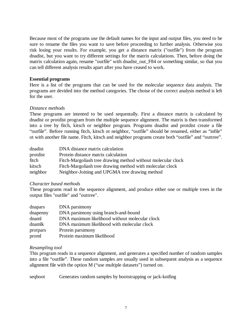Because most of the programs use the default names for the input and output files, you need to be sure to rename the files you want to save before proceeding to further analysis. Otherwise you risk losing your results. For example, you get a distance matrix ("outfile") from the program dnadist, but you want to try different settings for the matrix calculations. Then, before doing the matrix calculation again, rename "outfile" with dnadist\_out\_F84 or something similar, so that you can tell different analysis results apart after you have ceased to work.

#### **Essential programs**

Here is a list of the programs that can be used for the molecular sequence data analysis. The programs are devided into the method categories. The choise of the correct analysis method is left for the user.

#### *Distance methods*

These programs are intented to be used sequentally. First a distance matrix is calculated by dnadist or protdist program from the multiple sequence alignment. The matrix is then transformed into a tree by fitch, kitsch or neighbor program. Programs dnadist and protdist create a file "outfile". Before running fitch, kitsch ot neighbor, "outfile" should be renamed, either as "infile" ot with another file name. Fitch, kitsch and neighbor programs create both "outfile" and "outtree".

| dnadist  | DNA distance matrix calculation                              |
|----------|--------------------------------------------------------------|
| protdist | Protein distance matrix calculation                          |
| fitch    | Fitch-Margoliash tree drawing method without molecular clock |
| kitsch   | Fitch-Margoliash tree drawing method with molecular clock    |
| neighbor | Neighbor-Joining and UPGMA tree drawing method               |

#### *Character based methods*

These programs read in the sequence alignment, and produce either one or multiple trees in the output files "outfile" and "outtree".

| dnapars  | DNA parsimony                                  |
|----------|------------------------------------------------|
| dnapenny | DNA parsimony using branch-and-bound           |
| dnaml    | DNA maximum likelihood without molecular clock |
| dnamlk   | DNA maximum likelihood with molecular clock    |
| protpars | Protein parsimony                              |
| proml    | Protein maximum likelihood                     |

#### *Resampling tool*

This program reads in a sequence alignment, and generates a specified number of random samples into a file "outfile". These random samples are usually used in subsequent analysis as a sequence alignment file with the option M ("use multiple datasets") turned on.

seqboot Generates random samples by bootstrapping or jack-knifing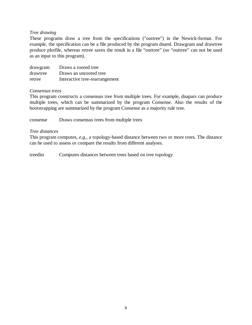#### *Tree drawing*

These programs draw a tree from the specifications ("outtree") in the Newick-format. For example, the specification can be a file produced by the program dnaml. Drawgram and drawtree produce plotfile, whereas retree saves the result in a file "outtree" (so "outtree" can not be used as an input to this program).

| drawgram | Draws a rooted tree            |
|----------|--------------------------------|
| drawtree | Draws an unrooted tree         |
| retree   | Interactive tree-rearrangement |

#### *Consensus trees*

This program constructs a consensus tree from multiple trees. For example, dnapars can produce multiple trees, which can be summarized by the program Consense. Also the results of the bootstrapping are summarized by the program Consense as a majority rule tree.

consense Draws consensus trees from multiple trees

#### *Tree distances*

This program computes, *e.g.*, a topology-based distance between two or more trees. The distance can be used to assess or compare the results from different analyses.

treedist Computes distances between trees based on tree topology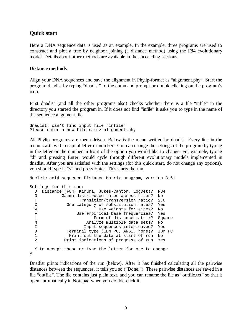### **Quick start**

Here a DNA sequence data is used as an example. In the example, three programs are used to construct and plot a tree by neighbor joining (a distance method) using the F84 evolutionary model. Details about other methods are available in the succeeding sections.

#### **Distance methods**

Align your DNA sequences and save the alignment in Phylip-format as "alignment.phy". Start the program dnadist by typing "dnadist" to the command prompt or double clicking on the program's icon.

First dnadist (and all the other programs also) checks whether there is a file "infile" in the directory you started the program in. If it does not find "infile" it asks you to type in the name of the sequence alignment file.

```
dnadist: can't find input file "infile" 
Please enter a new file name> alignment.phy
```
All Phylip programs are menu-driven. Below is the menu written by dnadist. Every line in the menu starts with a capital letter or number. You can change the settings of the program by typing in the letter or the number in front of the option you would like to change. For example, typing "d" and pressing Enter, would cycle through different evolutionary models implemented in dnadist. After you are satisfied with the settings (for this quick start, do not change any options), you should type in "y" and press Enter. This starts the run.

```
Nucleic acid sequence Distance Matrix program, version 3.61 
Settings for this run: 
  D Distance (F84, Kimura, Jukes-Cantor, LogDet)? F84 
           Gamma distributed rates across sites? No
 T Transition/transversion ratio? 2.0
  C One category of substitution rates? Yes 
 W Use weights for sites? No
  F Use empirical base frequencies? Yes 
 L Example 2018 Form of distance matrix? Square
 M Analyze multiple data sets? No
  I Input sequences interleaved? Yes 
  0 Terminal type (IBM PC, ANSI, none)? IBM PC 
 1 Print out the data at start of run No<br>2 Print indications of progress of run Yes
             2 Print indications of progress of run Yes 
  Y to accept these or type the letter for one to change 
y
```
Dnadist prints indications of the run (below). After it has finished calculating all the pairwise distances between the sequences, it tells you so ("Done."). These pairwise distances are saved in a file "outfile". The file contains just plain text, and you can rename the file as "outfile.txt" so that it open automatically in Notepad when you double-click it.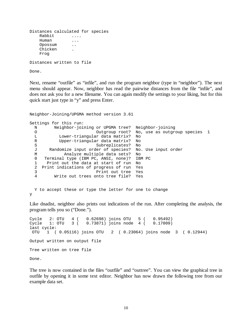```
Distances calculated for species 
   Rabbit ....
    Human ... 
    Opossum .. 
    Chicken . 
    Frog 
Distances written to file
```
Done.

Next, rename "outfile" as "infile", and run the program neighbor (type in "neighbor"). The next menu should appear. Now, neighbor has read the pairwise distances from the file "infile", and does not ask you for a new filename. You can again modify the settings to your liking, but for this quick start just type in "y" and press Enter.

```
Neighbor-Joining/UPGMA method version 3.61 
Settings for this run: 
  N Neighbor-joining or UPGMA tree? Neighbor-joining 
  O Outgroup root? No, use as outgroup species 1 
  L Lower-triangular data matrix? No 
  R Upper-triangular data matrix? No 
 S Subreplicates? No
  J Randomize input order of species? No. Use input order 
 M analyze multiple data sets? No<br>0 Terminal type (IBM PC, ANSI, none)? IBM
     Terminal type (IBM PC, ANSI, none)? IBM PC
  1 Print out the data at start of run No 
  2 Print indications of progress of run Yes 
  3 Print out tree Yes 
  4 Write out trees onto tree file? Yes 
  Y to accept these or type the letter for one to change 
y
```
Like dnadist, neighbor also prints out indications of the run. After completing the analysis, the program tells you so ("Done.").

Cycle 2: OTU 4 ( 0.62698) joins OTU 5 ( 0.95492) Cycle 1: OTU 3 ( 0.73871) joins node 4 ( 0.17009) last cycle: OTU 1 ( 0.05116) joins OTU 2 ( 0.23064) joins node 3 ( 0.12944) Output written on output file Tree written on tree file Done.

The tree is now contained in the files "outfile" and "outtree". You can view the graphical tree in outfile by opening it in some text editor. Neighbor has now drawn the following tree from our example data set.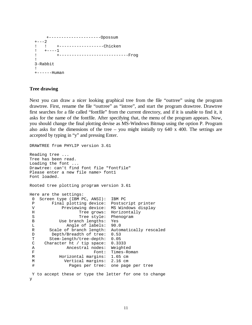```
 +---------------------Opossum 
+ - - - 2 ! ! +------------------Chicken 
! +----1
 ! +----------------------------Frog 
 ! 
 3-Rabbit 
 ! 
 +------Human
```
#### **Tree drawing**

Next you can draw a nicer looking graphical tree from the file "outtree" using the program drawtree. First, rename the file "outtree" as "intree", and start the program drawtree. Drawtree first searches for a file called "fontfile" from the current directory, and if it is unable to find it, it asks for the name of the fontfile. After specifying that, the menu of the program appears. Now, you should change the final plotting devise as MS-Windows Bitmap using the option P. Program also asks for the dimensions of the tree – you might initially try 640 x 400. The settings are accepted by typing in "y" and pressing Enter.

```
DRAWTREE from PHYLIP version 3.61 
Reading tree ... 
Tree has been read. 
Loading the font ... 
Drawtree: can't find font file "fontfile" 
Please enter a new file name> font1 
Font loaded. 
Rooted tree plotting program version 3.61 
Here are the settings: 
  0 Screen type (IBM PC, ANSI): IBM PC 
 P Final plotting device: Postscript printer
 V Previewing device: MS Windows display
H Tree grows: Horizontally
S Tree style: Phenogram
  B Use branch lengths: Yes 
 L Angle of labels: 90.0 
 R Scale of branch length: Automatically rescaled 
 D Depth/Breadth of tree: 0.53<br>T Stem-length/tree-depth: 0.05
       Stem-length/tree-depth: 0.05
  C Character ht / tip space: 0.3333 
  A Ancestral nodes: Weighted 
 F Font: Times-Roman
  M Horizontal margins: 1.65 cm 
  M Vertical margins: 2.16 cm 
  # Pages per tree: one page per tree 
 Y to accept these or type the letter for one to change 
y
```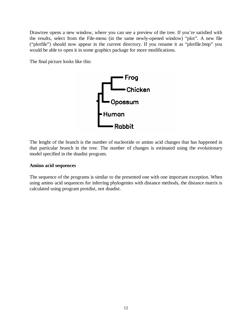Drawtree opens a new window, where you can see a preview of the tree. If you're satisfied with the results, select from the File-menu (in the same newly-opened window) "plot". A new file ("plotfile") should now appear in the current directory. If you rename it as "plotfile.bmp" you would be able to open it in some graphics package for more modifications.

The final picture looks like this:



The lenght of the branch is the number of nucleotide or amino acid changes that has happened in that particular branch in the tree. The number of changes is estimated using the evolutionary model specified in the dnadist program.

#### **Amino acid sequences**

The sequence of the programs is similar to the presented one with one important exception. When using amino acid sequences for inferring phylogenies with distance methods, the distance matrix is calculated using program protdist, not dnadist.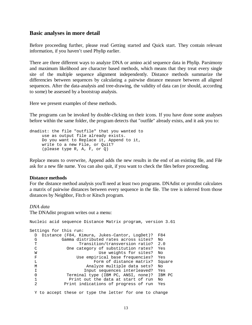#### **Basic analyses in more detail**

Before proceeding further, please read Getting started and Quick start. They contain relevant information, if you haven't used Phylip earlier.

There are three different ways to analyze DNA or amino acid sequence data in Phylip. Parsimony and maximum likelihood are character based methods, which means that they treat every single site of the multiple sequence alignment independently. Distance methods summarize the differencies between sequences by calculating a pairwise distance measure between all aligned sequences. After the data-analysis and tree-drawing, the validity of data can (or should, according to some) be assessed by a bootstrap analysis.

Here we present examples of these methods.

The programs can be invoked by double-clicking on their icons. If you have done some analyses before within the same folder, the program detects that "outfile" already exists, and it ask you to:

```
dnadist: the file "outfile" that you wanted to 
      use as output file already exists. 
      Do you want to Replace it, Append to it, 
      write to a new File, or Quit? 
      (please type R, A, F, or Q)
```
Replace means to overwrite, Append adds the new results in the end of an existing file, and File ask for a new file name. You can also quit, if you want to check the files before proceeding.

#### **Distance methods**

For the distance method analysis you'll need at least two programs. DNAdist or protdist calculates a matrix of pairwise distances between every sequence in the file. The tree is inferred from those distances by Neighbor, Fitch or Kitsch program.

#### *DNA data*

The DNAdist program writes out a menu:

Nucleic acid sequence Distance Matrix program, version 3.61 Settings for this run: D Distance (F84, Kimura, Jukes-Cantor, LogDet)? F84 G Gamma distributed rates across sites? No T Transition/transversion ratio? 2.0<br>C One category of substitution rates? Yes One category of substitution rates? Yes W W Use weights for sites? No F Use empirical base frequencies? Yes L **Example 2** Form of distance matrix? Square M Analyze multiple data sets? No

 I Input sequences interleaved? Yes 0 Terminal type (IBM PC, ANSI, none)? IBM PC 1 Print out the data at start of run No 2 Print indications of progress of run Yes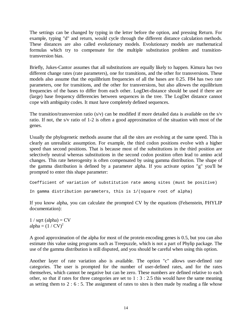The settings can be changed by typing in the letter before the option, and pressing Return. For example, typing "d" and return, would cycle through the different distance calculation methods. These distances are also called evolutionary models. Evolutionary models are mathematical formulas which try to compensate for the multiple substitution problem and transitiontransversion bias.

Briefly, Jukes-Cantor assumes that all substitutions are equally likely to happen. Kimura has two different change rates (rate parameters), one for transitions, and the other for transversions. These models also assume that the equilibrium frequencies of all the bases are 0.25. F84 has two rate parameters, one for transitions, and the other for transversions, but also allowes the equilibrium frequencies of the bases to differ from each other. LogDet-distance should be used if there are (large) base frequency differencies between sequences in the tree. The LogDet distance cannot cope with ambiguity codes. It must have completely defined sequences.

The transition/transversion ratio (s/v) can be modified if more detailed data is available on the s/v ratio. If not, the s/v ratio of 1-2 is often a good approximation of the situation with most of the genes.

Usually the phylogenetic methods assume that all the sites are evolving at the same speed. This is clearly an unrealistic assumption. For example, the third codon positions evolve with a higher speed than second positions. That is because most of the substitutions in the third position are selectively neutral whereas substitutions in the second codon position often lead to amino acid changes. This rate heterogenity is often compensated by using gamma distribution. The shape of the gamma distribution is defined by a parameter alpha. If you activate option "g" you'll be prompted to enter this shape parameter:

```
Coefficient of variation of substitution rate among sites (must be positive) 
In gamma distribution parameters, this is 1/(square root of alpha)
```
If you know alpha, you can calculate the prompted CV by the equations (Felsenstein, PHYLIP documentation):

 $1 / sqrt$  (alpha) = CV alpha =  $(1 / CV)^2$ 

A good approximation of the alpha for most of the protein encoding genes is 0.5, but you can also estimate this value using programs such as Treepuzzle, which is not a part of Phylip package. The use of the gamma distribution is still disputed, and you should be careful when using this option.

Another layer of rate variation also is available. The option "c" allows user-defined rate categories. The user is prompted for the number of user-defined rates, and for the rates themselves, which cannot be negative but can be zero. These numbers are defined relative to each other, so that if rates for three categories are set to  $1:3:2.5$  this would have the same meaning as setting them to 2 : 6 : 5. The assignment of rates to sites is then made by reading a file whose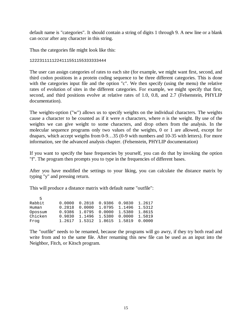default name is "categories". It should contain a string of digits 1 through 9. A new line or a blank can occur after any character in this string.

Thus the categories file might look like this:

#### 1222311111224111551155333333444

The user can assign categories of rates to each site (for example, we might want first, second, and third codon positions in a protein coding sequence to be three different categories. This is done with the categories input file and the option "c". We then specify (using the menu) the relative rates of evolution of sites in the different categories. For example, we might specify that first, second, and third positions evolve at relative rates of 1.0, 0.8, and 2.7 (Felsenstein, PHYLIP documentation).

The weights-option ("w") allows us to specify weights on the individual characters. The weights cause a character to be counted as if it were *n* characters, where *n* is the weight. By use of the weights we can give weight to some characters, and drop others from the analysis. In the molecular sequence programs only two values of the weights, 0 or 1 are allowed, except for dnapars, which accept weigths from 0-9…35 (0-9 with numbers and 10-35 with letters). For more information, see the advanced analysis chapter. (Felsenstein, PHYLIP documentation)

If you want to specify the base frequencies by yourself, you can do that by invoking the option "f". The program then prompts you to type in the frequencies of different bases.

After you have modified the settings to your liking, you can calculate the distance matrix by typing "y" and pressing return.

This will produce a distance matrix with default name "outfile":

| - 5     |        |               |                        |        |        |
|---------|--------|---------------|------------------------|--------|--------|
| Rabbit  | 0.0000 |               | 0.2818 0.9386 0.9830   |        | 1.2617 |
| Human   | 0.2818 |               | 0.0000 1.0795 1.1496   |        | 1.5312 |
| Opossum | 0.9386 |               | 1.0795  0.0000  1.5380 |        | 1.8615 |
| Chicken | 0.9830 | 1.1496 1.5380 |                        | 0.0000 | 1.5819 |
| Froq    | 1.2617 |               | 1.5312 1.8615 1.5819   |        | 0.0000 |

The "outfile" needs to be renamed, because the programs will go awry, if they try both read and write from and to the same file. After renaming this new file can be used as an input into the Neighbor, Fitch, or Kitsch program.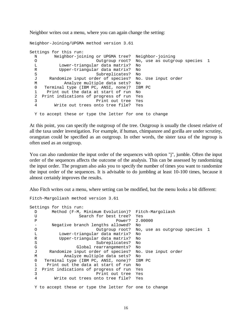Neighbor writes out a menu, where you can again change the setting:

Neighbor-Joining/UPGMA method version 3.61 Settings for this run: N Neighbor-joining or UPGMA tree? Neighbor-joining O Outgroup root? No, use as outgroup species 1 Lower-triangular data matrix? No R Upper-triangular data matrix? No S Subreplicates? No J Randomize input order of species? No. Use input order M analyze multiple data sets? No<br>0 Terminal type (IBM PC, ANSI, none)? IBM 0 Terminal type (IBM PC, ANSI, none)? IBM PC 1 Print out the data at start of run No 2 Print indications of progress of run Yes 3 Print out tree Yes 4 Write out trees onto tree file? Yes Y to accept these or type the letter for one to change

At this point, you can specify the outgroup of the tree. Outgroup is usually the closest relative of all the taxa under investigation. For example, if human, chimpanzee and gorilla are under scrutiny, orangutan could be specified as an outgroup. In other words, the sister taxa of the ingroup is often used as an outgroup.

You can also randomize the input order of the sequences with option "j", jumble. Often the input order of the sequences affects the outcome of the analysis. This can be assessed by randomizing the input order. The program also asks you to specify the number of times you want to randomize the input order of the sequences. It is advisable to do jumbling at least 10-100 times, because it almost certainly improves the results.

Also Fitch writes out a menu, where setting can be modified, but the menu looks a bit different:

```
Settings for this run: 
  D Method (F-M, Minimum Evolution)? Fitch-Margoliash 
  U Search for best tree? Yes 
 P POWER 2.00000
  - Negative branch lengths allowed? No 
  O Outgroup root? No, use as outgroup species 1 
  L Lower-triangular data matrix? No 
  R Upper-triangular data matrix? No 
 S Subreplicates? No
  G Global rearrangements? No 
  J Randomize input order of species? No. Use input order 
          Analyze multiple data sets? No
  0 Terminal type (IBM PC, ANSI, none)? IBM PC 
  1 Print out the data at start of run No 
  2 Print indications of progress of run Yes 
  3 Print out tree Yes 
  4 Write out trees onto tree file? Yes
```
Fitch-Margoliash method version 3.61

Y to accept these or type the letter for one to change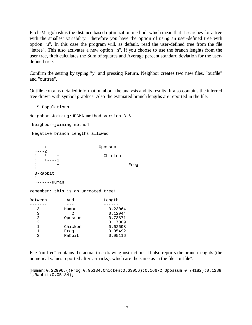Fitch-Margoliash is the distance based optimization method, which mean that it searches for a tree with the smallest variability. Therefore you have the option of using an user-defined tree with option "u". In this case the program will, as default, read the user-defined tree from the file "intree". This also activates a new option "n". If you choose to use the branch lenghts from the user tree, fitch calculates the Sum of squares and Average percent standard deviation for the userdefined tree.

Confirm the setting by typing "y" and pressing Return. Neighbor creates two new files, "outfile" and "outtree".

Outfile contains detailed information about the analysis and its results. It also contains the inferred tree drawn with symbol graphics. Also the estimated branch lengths are reported in the file.

```
 5 Populations 
Neighbor-Joining/UPGMA method version 3.6 
 Neighbor-joining method 
 Negative branch lengths allowed 
     +---------------------Opossum 
 + - - - 2 ! ! +------------------Chicken 
 ! +----1
  ! +----------------------------Frog 
  ! 
  3-Rabbit 
  ! 
  +------Human 
remember: this is an unrooted tree! 
Between And Length
------- --- ------ 
 3 Human 0.23064 
 3 2 0.12944 
  2 Opossum 0.73871
  2 1 0.17009<br>1 Chicken 0.62698<br>1 Frog 0.95492
 1 Chicken 0.62698 
 1 Frog 0.95492 
   3 Rabbit 0.05116
```
File "outtree" contains the actual tree-drawing instructions. It also reports the branch lenghts (the numerical values reported after : -marks), which are the same as in the file "outfile".

(Human:0.22996,((Frog:0.95134,Chicken:0.63056):0.16672,Opossum:0.74182):0.1289 1,Rabbit:0.05184);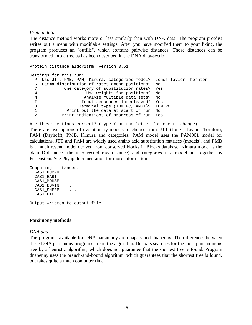#### *Protein data*

The distance method works more or less similarly than with DNA data. The program protdist writes out a menu with modifiable settings. After you have modified them to your liking, the program produces an "outfile", which contains pairwise distances. Those distances can be transformed into a tree as has been described in the DNA data-section.

```
Protein distance algorithm, version 3.61 
Settings for this run: 
  P Use JTT, PMB, PAM, Kimura, categories model? Jones-Taylor-Thornton 
  G Gamma distribution of rates among positions? No 
  C One category of substitution rates? Yes 
 W Use weights for positions? No
  M Analyze multiple data sets? No 
  I Input sequences interleaved? Yes 
 0 Terminal type (IBM PC, ANSI)? IBM PC
 1 Print out the data at start of run No<br>2 Print indications of progress of run Yes
           Print indications of progress of run Yes
```
Are these settings correct? (type Y or the letter for one to change)

There are five options of evolutionary models to choose from: JTT (Jones, Taylor Thornton), PAM (Dayhoff), PMB, Kimura and categories. PAM model uses the PAM001 model for calculations. JTT and PAM are widely used amino acid substitution matrices (models), and PMB is a much resent model derived from conserved blocks in Blocks database. Kimura model is the plain D-distance (the uncorrected raw distance) and categories is a model put together by Felsenstein. See Phylip documentation for more information.

```
Computing distances: 
   CAS1_HUMAN 
  CAS1_RABIT
  CAS1_MOUSE ..
```
CAS1\_BOVIN ... CAS1 SHEEP .... CAS1\_PIG .....

Output written to output file

#### **Parsimony methods**

#### *DNA data*

The programs available for DNA parsimony are dnapars and dnapenny. The differences between these DNA parsimony programs are in the algorithm. Dnapars searches for the most parsimonious tree by a heuristic algorithm, which does not guarantee that the shortest tree is found. Program dnapenny uses the branch-and-bound algorithm, which guarantees that the shortest tree is found, but takes quite a much computer time.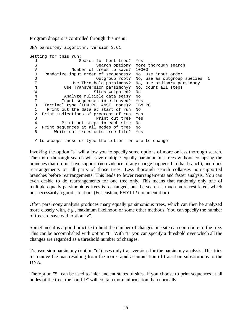Program dnapars is controlled through this menu:

DNA parsimony algorithm, version 3.61 Setting for this run: U Search for best tree? Yes<br>Search option? More S Search option? More thorough search<br>V Wumber of trees to save? 10000 Number of trees to save? 10000 J Randomize input order of sequences? No. Use input order O Outgroup root? No, use as outgroup species 1 T Use Threshold parsimony? No, use ordinary parsimony N Use Transversion parsimony? No, count all steps W Sites weighted? No M Analyze multiple data sets? No I Input sequences interleaved? Yes 0 Terminal type (IBM PC, ANSI, none)? IBM PC 1 Print out the data at start of run No 2 Print indications of progress of run Yes 3 Print out tree Yes 4 Print out steps in each site No 5 Print sequences at all nodes of tree No<br>6 Write out trees onto tree file? Yes Write out trees onto tree file? Yes Y to accept these or type the letter for one to change

Invoking the option "s" will allow you to specify some options of more or less thorough search. The more thorough search will save multiple equally parsimonious trees without collapsing the branches that do not have support (no evidence of any change happened in that branch), and does rearrangements on all parts of those trees. Less thorough search collapses non-supported branches before rearrangements. This leads to fewer rearrangements and faster analysis. You can even deside to do rearrangements for one tree only. This means that randomly only one of multiple equally parsimonious trees is rearranged, but the search is much more restricted, which not necessarily a good situation. (Felsenstein, PHYLIP documentation)

Often parsimony analysis produces many equally parsimonious trees, which can then be analyzed more closely with, *e.g.*, maximum likelihood or some other methods. You can specify the number of trees to save with option "v".

Sometimes it is a good practise to limit the number of changes one site can contribute to the tree. This can be accomplished with option "t". With "t" you can specify a threshold over which all the changes are regarded as a threshold number of changes.

Transversion parsimony (option "n") uses only transversions for the parsimony analysis. This tries to remove the bias resulting from the more rapid accumulation of transition substitutions to the DNA.

The option "5" can be used to infer ancient states of sites. If you choose to print sequences at all nodes of the tree, the "outfile" will contain more information than normally: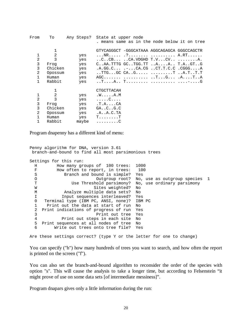| From           | To      | Any Steps? | State at upper node                                                                                    |  |  |
|----------------|---------|------------|--------------------------------------------------------------------------------------------------------|--|--|
|                |         |            | . means same as in the node below it on tree                                                           |  |  |
|                | 1       |            | GTYCAGGGCT -GGGCATAAA AGGCAGAGCA GGGCCAGCTR                                                            |  |  |
| 1              | 2       | yes        | NR .?  A.RT                                                                                            |  |  |
| $\overline{a}$ | 3       | yes        | $\ldots$ CCB $\ldots$ CA.VDGHD $T.V. \ldots$ CV $\ldots \ldots \ldots$ . A.                            |  |  |
| 3              | Frog    | yes        | $C.A.A. TTTG GC. TGG. TT A. A. . T.A. . GT. . G$                                                       |  |  |
| 3              | Chicken | yes        | $A.GG.C --.CA.CGCT.T.C.C CGGG A$                                                                       |  |  |
| $\mathfrak{D}$ | Opossum | yes        | $\ldots TTG \ldots GC$ $CA \ldots G \ldots \ldots \ldots \ldots \ldots T$ $\ldots A \ldots T \ldots T$ |  |  |
| 1.             | Human   | yes        | $AGC$ T $G$ . $A$ TA                                                                                   |  |  |
| 1.             | Rabbit  | yes        | TA T  -G                                                                                               |  |  |
|                | 1       |            | CTGCTTACAH                                                                                             |  |  |
| 1              | 2       | yes        | .WA.M                                                                                                  |  |  |
| 2              | 3       | yes        | . C                                                                                                    |  |  |
| 3              | Frog    | yes        | $.T.A.$ $CA$                                                                                           |  |  |
| 3              | Chicken | yes        | GA. .C. .G.C                                                                                           |  |  |
| 2              | Opossum | yes        | .A. . A. C. TA                                                                                         |  |  |
|                | Human   | yes        | $T \ldots \ldots T$                                                                                    |  |  |
|                | Rabbit  | maybe      | . C                                                                                                    |  |  |

Program dnapenny has a different kind of menu:

```
Penny algorithm for DNA, version 3.61 
 branch-and-bound to find all most parsimonious trees 
Settings for this run: 
  H How many groups of 100 trees: 1000 
 F How often to report, in trees: 100
  S Branch and bound is simple? Yes<br>O Outgroup root? No.
                            Outgroup root? No, use as outgroup species 1
   T Use Threshold parsimony? No, use ordinary parsimony 
 W Sites weighted? No
  M Analyze multiple data sets? No 
  I 11 Input sequences interleaved? Yes<br>0 Terminal type (IBM PC, ANSI, none)? IBM PC
      Terminal type (IBM PC, ANSI, none)?
   1 Print out the data at start of run No 
   2 Print indications of progress of run Yes 
   3 Print out tree Yes 
  4 Print out steps in each site No<br>5 Print sequences at all nodes of tree No
  5 Print sequences at all nodes of tree<br>6 Write out trees onto tree file?
          Write out trees onto tree file? Yes
Are these settings correct? (type Y or the letter for one to change)
```
You can specify ("h") how many hundreds of trees you want to search, and how often the report is printed on the screen ("f").

You can also set the branch-and-bound algorithm to reconsider the order of the species with option "s". This will cause the analysis to take a longer time, but according to Felsenstein "it might prove of use on some data sets [of intermediate messiness]".

Program dnapars gives only a little information during the run: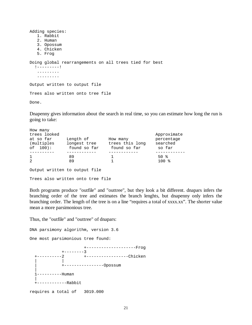```
Adding species: 
    1. Rabbit 
    2. Human 
    3. Opossum 
    4. Chicken 
    5. Frog 
Doing global rearrangements on all trees tied for best 
   !---------! 
    ......... 
    ......... 
Output written to output file 
Trees also written onto tree file 
Done.
```
Dnapenny gives information about the search in real time, so you can estimate how long the run is going to take:

| How many     |              |                 |             |
|--------------|--------------|-----------------|-------------|
| trees looked |              |                 | Approximate |
| at so far    | Length of    | How many        | percentage  |
| (multiples)  | longest tree | trees this long | searched    |
| $of 100$ :   | found so far | found so far    | so far      |
|              |              |                 |             |
| $\mathbf{1}$ | 89           |                 | 50 %        |
| 2            | 89           |                 | $100*$      |
|              |              |                 |             |

Output written to output file Trees also written onto tree file

Both programs produce "outfile" and "outtree", but they look a bit different. dnapars infers the branching order of the tree and estimates the branch lenghts, but dnapenny only infers the branching order. The length of the tree is on a line "requires a total of xxxx.xx". The shorter value mean a more parsimonious tree.

Thus, the "outfile" and "outtree" of dnapars:

DNA parsimony algorithm, version 3.6

One most parsimonious tree found:

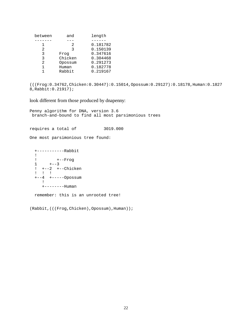| between | and     | length   |
|---------|---------|----------|
|         |         |          |
|         | 2       | 0.181782 |
| 2.      | 3       | 0.150139 |
| 3       | Frog    | 0.347616 |
| ς       | Chicken | 0.304468 |
| 2       | Opossum | 0.291273 |
|         | Human   | 0.182778 |
|         | Rabbit  | 0.219167 |

```
(((Frog:0.34762,Chicken:0.30447):0.15014,Opossum:0.29127):0.18178,Human:0.1827
8,Rabbit:0.21917);
```
look different from those produced by dnapenny:

Penny algorithm for DNA, version 3.6 branch-and-bound to find all most parsimonious trees requires a total of 3019.000 One most parsimonious tree found: +-----------Rabbit ! ! +--Frog  $1 + -3$  ! +--2 +--Chicken ! ! ! +--4 +-----Opossum ! +--------Human remember: this is an unrooted tree!

(Rabbit,(((Frog,Chicken),Opossum),Human));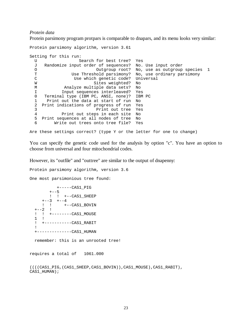*Protein data*

Protein parsimony program protpars is comparable to dnapars, and its menu looks very similar:

```
Protein parsimony algorithm, version 3.61 
Setting for this run: 
 U Search for best tree? Yes<br>J Randomize input order of sequences? No.
  J Randomize input order of sequences? No. Use input order 
 O Outgroup root? No, use as outgroup species 1<br>
T Use Threshold parsimony? No, use ordinary parsimony
  T Use Threshold parsimony? No, use ordinary parsimony 
                Use which genetic code? Universal
 W Sites weighted? No
  M Analyze multiple data sets? No 
  I Input sequences interleaved? Yes 
  0 Terminal type (IBM PC, ANSI, none)? IBM PC 
  1 Print out the data at start of run No 
  2 Print indications of progress of run Yes 
  3 Print out tree Yes 
  4 Print out steps in each site No 
  5 Print sequences at all nodes of tree No 
  6 Write out trees onto tree file? Yes 
Are these settings correct? (type Y or the letter for one to change)
```
You can specify the genetic code used for the analysis by option "c". You have an option to choose from universal and four mitochondrial codes.

However, its "outfile" and "outtree" are similar to the output of dnapenny:

Protein parsimony algorithm, version 3.6

One most parsimonious tree found:

 +-----CAS1\_PIG  $+--5$  ! ! +--CAS1\_SHEEP  $+--3$   $+--4$ <br>! !  $+-$  ! ! +--CAS1\_BOVIN  $+ - -2$  ! ! ! +--------CAS1\_MOUSE 1 ! ! +-----------CAS1\_RABIT ! +--------------CAS1\_HUMAN

remember: this is an unrooted tree!

requires a total of 1061.000

```
((((CAS1_PIG,(CAS1_SHEEP,CAS1_BOVIN)),CAS1_MOUSE),CAS1_RABIT), 
CAS1 HUMAN);
```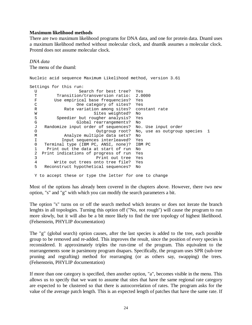#### **Maximum likelihood methods**

There are two maximum likelihood programs for DNA data, and one for protein data. Dnaml uses a maximum likelihood method without molecular clock, and dnamlk assumes a molecular clock. Protml does not assume molecular clock.

*DNA data* The menu of the dnaml:

```
Nucleic acid sequence Maximum Likelihood method, version 3.61 
Settings for this run: 
 U Search for best tree? Yes<br>T Transition/transversion ratio: 2.0000
 T Transition/transversion ratio:<br>F Use empirical base frequencies?
         Use empirical base frequencies? Yes
  C One category of sites? Yes 
  R Rate variation among sites? constant rate 
  W Sites weighted? No
  S Speedier but rougher analysis? Yes
   G Global rearrangements? No 
   J Randomize input order of sequences? No. Use input order 
  O Outgroup root? No, use as outgroup species 1
 M Analyze multiple data sets? No<br>I Input sequences interleaved? Yes
  I 10 Input sequences interleaved? Yes<br>0 Terminal type (IBM PC, ANSI, none)? IBM
     Terminal type (IBM PC, ANSI, none)? IBM PC
   1 Print out the data at start of run No 
   2 Print indications of progress of run Yes 
   3 Print out tree Yes 
   4 Write out trees onto tree file? Yes 
   5 Reconstruct hypothetical sequences? No
```
Y to accept these or type the letter for one to change

Most of the options has already been covered in the chapters above. However, there two new option, "s" and "g" with which you can modify the search parameters a bit.

The option "s" turns on or off the search method which iterates or does not iterate the branch lenghts in all topologies. Turning this option off ("No, not rough") will cause the program to run more slowly, but it will also be a bit more likely to find the tree topology of highest likelihood. (Felsenstein, PHYLIP documentation)

The "g" (global search) option causes, after the last species is added to the tree, each possible group to be removed and re-added. This improves the result, since the position of every species is reconsidered. It approximately triples the run-time of the program. This equivalent to the rearrangements sone in parsimony program dnapars. Specifically, the program uses SPR (sub-tree pruning and regrafting) method for rearranging (or as others say, swapping) the trees. (Felsenstein, PHYLIP documentation)

If more than one category is specified, then another option, "a", becomes visible in the menu. This allows us to specify that we want to assume that sites that have the same regional rate category are expected to be clustered so that there is autocorrelation of rates. The program asks for the value of the average patch length. This is an expected length of patches that have the same rate. If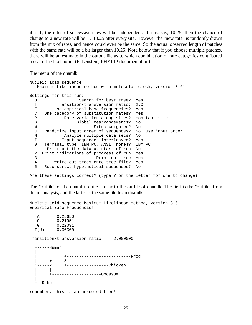it is 1, the rates of successive sites will be independent. If it is, say, 10.25, then the chance of change to a new rate will be 1 / 10.25 after every site. However the "new rate" is randomly drawn from the mix of rates, and hence could even be the same. So the actual observed length of patches with the same rate will be a bit larger than 10.25. Note below that if you choose multiple patches, there will be an estimate in the output file as to which combination of rate categories contributed most to the likelihood. (Felsenstein, PHYLIP documentation)

The menu of the dnamlk:

| Nucleic acid sequence                                        |                     |
|--------------------------------------------------------------|---------------------|
| Maximum Likelihood method with molecular clock, version 3.61 |                     |
| Settings for this run:                                       |                     |
| Search for best tree?<br>U                                   | Yes                 |
| Transition/transversion ratio:<br>т                          | 2.0                 |
| F<br>Use empirical base frequencies?                         | Yes                 |
| C<br>One category of substitution rates? Yes                 |                     |
| Rate variation among sites? constant rate<br>R               |                     |
| G<br>Global rearrangements?                                  | No                  |
| Sites weighted?<br>W                                         | No                  |
| Randomize input order of sequences?<br>J                     | No. Use input order |
| Analyze multiple data sets?<br>М                             | No                  |
| Input sequences interleaved? Yes<br>I                        |                     |
| 0<br>Terminal type (IBM PC, ANSI, none)?                     | IBM PC              |
| 1<br>Print out the data at start of run                      | No                  |
| $\mathcal{L}$<br>Print indications of progress of run        | Yes                 |
| 3<br>Print out tree                                          | Yes                 |
| 4<br>Write out trees onto tree file?                         | Yes                 |
| 5<br>Reconstruct hypothetical sequences?                     | No                  |

Are these settings correct? (type Y or the letter for one to change)

The "outfile" of the dnaml is quite similar to the outfile of dnamlk. The first is the "outfile" from dnaml analysis, and the latter is the same file from dnamlk.

Nucleic acid sequence Maximum Likelihood method, version 3.6 Empirical Base Frequencies:

 A 0.25650  $\begin{array}{ccc} C & 0.21951 \\ G & 0.22091 \end{array}$  $G = 0.22091$ <br> $T(U) = 0.30309$ 0.30309

Transition/transversion ratio = 2.000000

+-----Human

 | | +--------------------------Frog  $+----3$  1-----2 +-----------------Chicken | | | +--------------------Opossum | +--Rabbit

remember: this is an unrooted tree!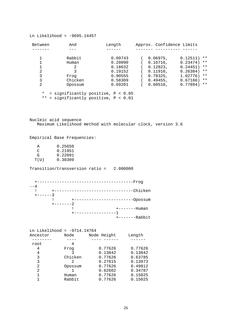Ln Likelihood = -9695.14457

| Between | And                                  | Length  | Approx. Confidence Limits        |
|---------|--------------------------------------|---------|----------------------------------|
|         |                                      |         |                                  |
|         | Rabbit                               | 0.09743 | $0.06975$ ,<br>0.12511)<br>**    |
|         | Human                                | 0.20090 | $0.16716$ ,<br>0.23474)<br>$***$ |
|         | 2                                    | 0.18632 | $0.12823$ ,<br>0.24451)<br>$***$ |
| 2       | 3                                    | 0.19152 | 0.11910,<br>0.26384)<br>$***$    |
| 3       | Frog                                 | 0.90555 | $0.78325$ ,<br>1.02776)<br>$***$ |
| 3       | Chicken                              | 0.58309 | $0.49455$ ,<br>0.67166)<br>$***$ |
| 2       | Opossum                              | 0.69201 | $***$<br>0.60518,<br>0.77894)    |
| $\star$ | = significantly positive, $P < 0.05$ |         |                                  |

\*\* = significantly positive, P < 0.01

Nucleic acid sequence Maximum Likelihood method with molecular clock, version 3.6

Empirical Base Frequencies:

| A    | 0.25650 |
|------|---------|
| ◠    | 0.21951 |
| G    | 0.22091 |
| T(U) | 0.30309 |

Transition/transversion ratio = 2.000000



| Ln Likelihood = -9714.14764 |         |             |         |
|-----------------------------|---------|-------------|---------|
| Ancestor                    | Node    | Node Height | Length  |
|                             |         |             |         |
| root                        | 4       |             |         |
| 4                           | Froq    | 0.77626     | 0.77626 |
| 4                           | 3       | 0.13842     | 0.13842 |
| 3                           | Chicken | 0.77626     | 0.63785 |
| 3                           | 2       | 0.27815     | 0.13973 |
| 2                           | Opossum | 0.77626     | 0.49812 |
| 2                           |         | 0.62602     | 0.34787 |
|                             | Human   | 0.77626     | 0.15025 |
|                             | Rabbit  | 0.77626     | 0.15025 |
|                             |         |             |         |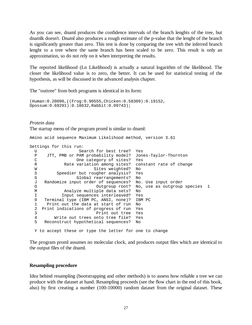As you can see, dnaml produces the confidence intervals of the branch lenghts of the tree, but dnamlk doesn't. Dnaml also produces a rough estimate of the p-value that the lenght of the branch is significantly greater than zero. This test is done by comparing the tree with the inferred branch lenght to a tree where the same branch has been scaled to be zero. This result is only an approximation, so do not rely on it when interpreting the results.

The reported likelihood (Ln Likelihood) is actually a natural logarithm of the likelihood. The closer the likelihood value is to zero, the better. It can be used for statistical testing of the hypothesis, as will be discussed in the advanced analysis chapter.

The "outtree" from both programs is identical in its form:

```
(Human:0.20090,((Frog:0.90555,Chicken:0.58309):0.19152, 
Opossum:0.69201):0.18632,Rabbit:0.09743);
```
*Protein data*

The startup menu of the program proml is similar to dnaml:

Amino acid sequence Maximum Likelihood method, version 3.61

Settings for this run:

```
U Search for best tree? Yes<br>P JTT, PMB or PAM probability model? Jon
    JTT, PMB or PAM probability model? Jones-Taylor-Thornton
 C One category of sites? Yes 
 R Rate variation among sites? constant rate of change 
W Sites weighted? No
S Speedier but rougher analysis? Yes
 G Global rearrangements? No 
 J Randomize input order of sequences? No. Use input order 
O Outgroup root? No, use as outgroup species 1
 M Analyze multiple data sets? No 
 I Input sequences interleaved? Yes 
 0 Terminal type (IBM PC, ANSI, none)? IBM PC 
 1 Print out the data at start of run No 
 2 Print indications of progress of run Yes 
 3 Print out tree Yes 
 4 Write out trees onto tree file? Yes 
 5 Reconstruct hypothetical sequences? No 
 Y to accept these or type the letter for one to change
```
The program proml assumes no molecular clock, and produces output files which are identical to

the output files of the dnaml.

#### **Resampling procedure**

Idea behind resampling (bootstrapping and other methods) is to assess how reliable a tree we can produce with the dataset at hand. Resampling proceeds (see the flow chart in the end of this book, also) by first creating a number (100-10000) random dataset from the original dataset. These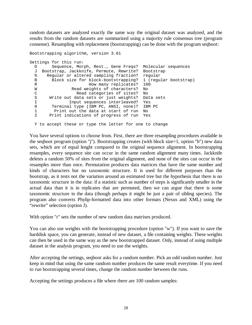random datasets are analyzed exactly the same way the original dataset was analyzed, and the results from the random datasets are summarized using a majority rule consensus tree (program consense). Resampling with replacement (bootstrapping) can be done with the program seqboot:

```
Bootstrapping algorithm, version 3.61 
Settings for this run: 
  D Sequence, Morph, Rest., Gene Freqs? Molecular sequences 
  J Bootstrap, Jackknife, Permute, Rewrite? Bootstrap 
   % Regular or altered sampling fraction? regular 
  B Block size for block-bootstrapping? 1 (regular bootstrap) 
 R How many replicates? 100
  W Read weights of characters? No
   C Read categories of sites? No 
   S Write out data sets or just weights? Data sets 
  I 1 11 Input sequences interleaved? Yes<br>0 11 Terminal type (IBM PC, ANSI, none)? IBM
         Terminal type (IBM PC, ANSI, none)? IBM PC
  1 Print out the data at start of run No<br>2 Print indications of progress of run Yes
        Print indications of progress of run Yes
```
Y to accept these or type the letter for one to change

You have several options to choose from. First, there are three resampling procedures available in the seqboot program (option "j"). Bootstrapping creates (with block size=1, option "b") new data sets, which are of equal lenght compared to the original sequence alignment. In bootstrapping resamples, every sequence site can occur in the same random alignment many times. Jackknife deletes a random 50% of sites from the original alignment, and none of the sites can occur in the resamples more than once. Permutation produces data matrices that have the same number and kinds of characters but no taxonomic structure. It is used for different purposes than the bootstrap, as it tests not the variation around an estimated tree but the hypothesis that there is no taxonomic structure in the data: if a statistic such as number of steps is significantly smaller in the actual data than it is in replicates that are permuted, then we can argue that there is some taxonomic structure in the data (though perhaps it might be just a pair of sibling species). The program also converts Phylip-formatted data into other formats (Nexus and XML) using the "rewrite" selection (option J).

With option "r" sets the number of new random data matrixes produced.

You can also use weights with the bootstrapping procedure (option "w"). If you want to save the harddisk space, you can generate, instead of new dataset, a file containing weights. These weights can then be used in the same way as the new bootstrapped dataset. Only, instead of using multiple dataset in the analysis program, you need to use the weights.

After accepting the settings, seqboot asks for a random number. Pick an odd random number. Just keep in mind that using the same random number produces the same result everytime. If you need to run bootstrapping several times, change the random number between the runs.

Accepting the settings produces a file where there are 100 random samples: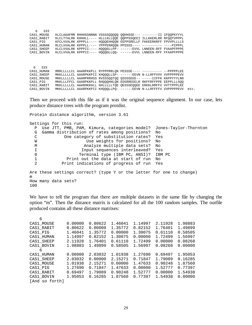| 6 333<br>CAS1 MOUSE<br>CAS1 RABIT<br>CAS1 PIG<br>CAS1 HUMAN<br>CAS1 SHEEP<br>CAS1 BOVIN | KLCLAAAFMR RHHHSSNNNN VSSSSQQQQQ QQHHSSE--- --------II IFQQPKYYYL<br>KLCLVVALRK KPPPII---- HQQQGLLPP- ------EVVL LNNEEN-RFF FVAAPFPPPE<br>KLCLVVALRK KPPPII---- HOOOGLLOO- ------EVVL LNNEEN-RFF FFAAPFPPPE    |  | KLCLTTALRK KHHHLL---- HLLLKLLOOE OOPPSSOEEI ILLKKERLRR RFOOTVPPPL<br>KFCLVVALRK KPPPLL---- HOOOEHHOON EEPPSRELLF FKKEERKRFF FPVVPLLLLLS<br>RLCLVVALRK KPPPLL---- YPPPERROON PPSSSS---- --------- ----PIPPPL   |      |
|-----------------------------------------------------------------------------------------|----------------------------------------------------------------------------------------------------------------------------------------------------------------------------------------------------------------|--|---------------------------------------------------------------------------------------------------------------------------------------------------------------------------------------------------------------|------|
| 6 333<br>CAS1 HUMAN<br>CAS1 SHEEP<br>CAS1 MOUSE<br>CAS1 PIG<br>CAS1 RABIT<br>CAS1 BOVIN | MRRLLLLLCL AAARPKKPLL RYPPPRRLQN PESSSE---- ---------- --PPPPPLEE<br>MKKLLLLLLCL AAARHKKHLL GHLLLLLTOE OESSSEOOEE ERKKLRRFFV VVTTPPPLEE<br>MKKLLLLLLCL AAARPKKPII KHOOOLLPO- ------EEVN N-LLRFFFFFV VVPPPPPEVV |  | MKKLLLLLLCL AAARPKKPII KHQQQLLSP- ------EEVN N-LLRFFVVV VVPPPPPEVV<br>MKKLLLLLLCL AAAMPRRHSS RVSSSOOTOO OSSSSEEE-- -----IIFFK KKPPYYYLNN<br>MKKLLLFFCL AAARPKKPLL RHOOOHHLON EDSRREEELR RKFFRFFPPE EEPPLLLSOO | etc. |

Then we proceed with this file as if it was the original sequence alignment. In our case, lets produce distance trees with the program protdist.

Protein distance algorithm, version 3.61 Settings for this run: P Use JTT, PMB, PAM, Kimura, categories model? Jones-Taylor-Thornton G Gamma distribution of rates among positions? No C One category of substitution rates? Yes W **W** Use weights for positions? No M Analyze multiple data sets? No I 1 11 Input sequences interleaved? Yes<br>
10 11 Terminal type (IBM PC, ANSI)? IBM Terminal type (IBM PC, ANSI)? IBM PC 1 Print out the data at start of run No 2 Print indications of progress of run Yes Are these settings correct? (type Y or the letter for one to change) m How many data sets? 100

We have to tell the program that there are multiple datasets in the same file by changing the option "m". Then the distance matrix is calculated for all the 100 random samples. The outfile produced contains all these distance matrixes:

| 6              |         |         |         |         |         |         |
|----------------|---------|---------|---------|---------|---------|---------|
| CAS1_MOUSE     | 0.00000 | 0.80622 | 1.46041 | 1.14997 | 2.11928 | 1.98883 |
| CAS1_RABIT     | 0.80622 | 0.00000 | 1.35772 | 0.82152 | 1.76401 | 1.49899 |
| CAS1 PIG       | 1.46041 | 1.35772 | 0.00000 | 1.30075 | 0.61110 | 0.58505 |
| CAS1 HUMAN     | 1.14997 | 0.82152 | 1.30075 | 0.00000 | 1.72499 | 1.56997 |
| CAS1 SHEEP     | 2.11928 | 1.76401 | 0.61110 | 1.72499 | 0.00000 | 0.08268 |
| CAS1 BOVIN     | 1.98883 | 1.49899 | 0.58505 | 1.56997 | 0.08268 | 0.00000 |
| 6              |         |         |         |         |         |         |
| CAS1_HUMAN     | 0.00000 | 2.03032 | 1.01938 | 1.27690 | 0.69497 | 1.95053 |
| CAS1 SHEEP     | 2.03032 | 0.00000 | 2.15271 | 0.71847 | 1.79089 | 0.16285 |
| CAS1 MOUSE     | 1.01938 | 2.15271 | 0.00000 | 1.47633 | 0.90248 | 1.87560 |
| CAS1 PIG       | 1.27690 | 0.71847 | 1.47633 | 0.00000 | 1.52777 | 0.77397 |
| CAS1 RABIT     | 0.69497 | 1.79089 | 0.90248 | 1.52777 | 0.00000 | 1.54938 |
| CAS1 BOVIN     | 1.95053 | 0.16285 | 1.87560 | 0.77397 | 1.54938 | 0.00000 |
| [And so forth] |         |         |         |         |         |         |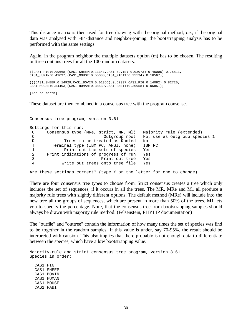This distance matrix is then used for tree drawing with the original method, *i.e.*, if the original data was analysed with F84-distance and neighbor-joining, the bootstrapping analysis has to be performed with the same settings.

Again, in the program neighbor the multiple datasets option (m) has to be chosen. The resulting outtree contains trees for all the 100 random datasets.

((CAS1\_PIG:0.09668,(CAS1\_SHEEP:0.11341,CAS1\_BOVIN:-0.03073):0.46006):0.75811, CAS1\_HUMAN:0.41697,(CAS1\_MOUSE:0.55088,CAS1\_RABIT:0.25534):0.16567); (((CAS1\_SHEEP:0.14929,CAS1\_BOVIN:0.01356):0.52397,CAS1\_PIG:0.14082):0.82720, CAS1\_MOUSE:0.54493,(CAS1\_HUMAN:0.38539,CAS1\_RABIT:0.30958):0.06851);

[And so forth]

These dataset are then combined in a consensus tree with the program consense.

Consensus tree program, version 3.61 Settings for this run: C Consensus type (MRe, strict, MR, Ml): Majority rule (extended) O Outgroup root: No, use as outgroup species 1 R Trees to be treated as Rooted: No T Terminal type (IBM PC, ANSI, none): IBM PC<br>1 Print out the sets of species: Yes 1 Print out the sets of species: Yes<br>2 Print indications of progress of run: Yes Print indications of progress of run: Yes 3 Print out tree: Yes 4 Write out trees onto tree file: Yes Are these settings correct? (type Y or the letter for one to change)

There are four consensus tree types to choose from. Strict consensus creates a tree which only includes the set of sequences, if it occurs in all the trees. The MR, MRe and M1 all produce a majority rule trees with slightly different options. The default method (MRe) will include into the new tree all the groups of sequences, which are present in more than 50% of the trees. M1 lets you to specify the percentage. Note, that the consensus tree from bootstrapping samples should always be drawn with majority rule method. (Felsenstein, PHYLIP documentation)

The "outfile" and "outtree" contain the information of how many times the set of species was find to be together in the random samples. If this value is under, say 70-95%, the result should be interpreted with causion. This also implies that there probably is not enough data to differentiate between the species, which have a low bootstrapping value.

Majority-rule and strict consensus tree program, version 3.61 Species in order: CAS1 PIG CAS1 SHEEP CAS1 BOVIN CAS1 HUMAN CAS1 MOUSE

CAS1 RABIT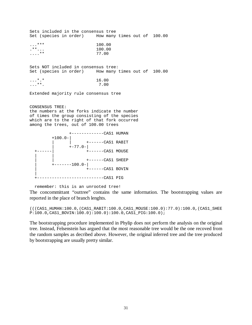Sets included in the consensus tree Set (species in order) How many times out of 100.00  $...$ \*\*\* 100.00<br>  $...$ \*\*... 100.00 .\*\*... 100.00  $\ldots$ \*\* Sets NOT included in consensus tree: Set (species in order) How many times out of 100.00  $...$ \*.\* 16.00<br> $...$ \*\*. 7.00  $\ldots$ \*\*. Extended majority rule consensus tree CONSENSUS TREE: the numbers at the forks indicate the number of times the group consisting of the species which are to the right of that fork occurred among the trees, out of 100.00 trees



remember: this is an unrooted tree!

The concommittant "outtree" contains the same information. The bootstrapping values are reported in the place of branch lenghts.

(((CAS1\_HUMAN:100.0,(CAS1\_RABIT:100.0,CAS1\_MOUSE:100.0):77.0):100.0,(CAS1\_SHEE P:100.0,CAS1\_BOVIN:100.0):100.0):100.0,CAS1\_PIG:100.0);

The bootstrapping procedure implemented in Phylip does not perform the analysis on the original tree. Instead, Felsenstein has argued that the most reasonable tree would be the one recoved from the random samples as decribed above. However, the original inferred tree and the tree produced by bootstrapping are usually pretty similar.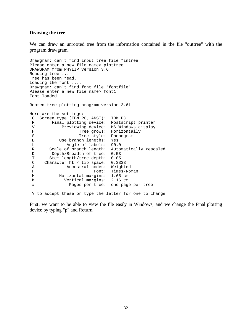#### **Drawing the tree**

We can draw an unrooted tree from the information contained in the file "outtree" with the program drawgram.

```
Drawgram: can't find input tree file "intree" 
Please enter a new file name> plottree 
DRAWGRAM from PHYLIP version 3.6 
Reading tree ... 
Tree has been read. 
Loading the font .... 
Drawgram: can't find font file "fontfile" 
Please enter a new file name> font1
Font loaded. 
Rooted tree plotting program version 3.61 
Here are the settings: 
  0 Screen type (IBM PC, ANSI): IBM PC 
 P Final plotting device: Postscript printer
V Previewing device: MS Windows display<br>H Tree grows: Horizontally
                   Tree grows: Horizontally
 S Tree style: Phenogram<br>B Use branch lengths: Yes
           Use branch lengths: Yes
  L Angle of labels: 90.0 
 R Scale of branch length: Automatically rescaled 
D Depth/Breadth of tree: 0.53
 T Stem-length/tree-depth: 0.05 
 C Character ht / tip space: 0.3333 
 A Ancestral nodes: Weighted 
F Font: Times-Roman
 M Horizontal margins: 1.65 cm 
M Vertical margins: 2.16 cm<br>
Pages per tree: one page
               Pages per tree: one page per tree
```
Y to accept these or type the letter for one to change

First, we want to be able to view the file easily in Windows, and we change the Final plotting device by typing "p" and Return.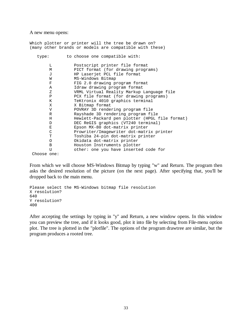#### A new menu opens:

|              | Which plotter or printer will the tree be drawn on?<br>(many other brands or models are compatible with these) |
|--------------|----------------------------------------------------------------------------------------------------------------|
| type:        | to choose one compatible with:                                                                                 |
| L            | Postscript printer file format                                                                                 |
| М            | PICT format (for drawing programs)                                                                             |
| $\mathbf{J}$ | HP Laserjet PCL file format                                                                                    |
| W            | MS-Windows Bitmap                                                                                              |
| F            | FIG 2.0 drawing program format                                                                                 |
| A            | Idraw drawing program format                                                                                   |
| Ζ.           | VRML Virtual Reality Markup Language file                                                                      |
| P            | PCX file format (for drawing programs)                                                                         |
| Κ            | TeKtronix 4010 graphics terminal                                                                               |
| X            | X Bitmap format                                                                                                |
| V            | POVRAY 3D rendering program file                                                                               |
| R            | Rayshade 3D rendering program file                                                                             |
| H            | Hewlett-Packard pen plotter (HPGL file format)                                                                 |
| D            | DEC ReGIS graphics (VT240 terminal)                                                                            |
| E            | Epson MX-80 dot-matrix printer                                                                                 |
| C            | Prowriter/Imagewriter dot-matrix printer                                                                       |
| Т            | Toshiba 24-pin dot-matrix printer                                                                              |
| O            | Okidata dot-matrix printer                                                                                     |
| B            | Houston Instruments plotter                                                                                    |
| U            | other: one you have inserted code for                                                                          |
| Choose one:  |                                                                                                                |

From which we will choose MS-Windows Bitmap by typing "w" and Return. The program then asks the desired resolution of the picture (on the next page). After specifying that, you'll be dropped back to the main menu.

```
Please select the MS-Windows bitmap file resolution
X resolution? 
640 
Y resolution? 
400
```
After accepting the settings by typing in "y" and Return, a new window opens. In this window you can preview the tree, and if it looks good, plot it into file by selecting from File-menu option plot. The tree is plotted in the "plotfile". The options of the program drawtree are similar, but the program produces a rooted tree.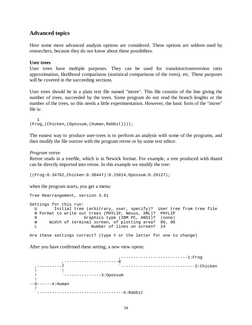## **Advanced topics**

Here some more advanced analysis options are considered. These options are seldom used by researchers, because they do not know about these possibilites.

#### **User trees**

User trees have multiple purposes. They can be used for transition/transversion ratio approximation, likelihood comparisons (statistical comparisons of the trees), etc. These purposes will be covered in the succeeding sections.

User trees should be in a plain text file named "intree". This file consists of the line giving the number of trees, succeeded by the trees. Some program do not read the branch lenghts or the number of the trees, so this needs a little experimentation. However, the basic form of the "intree" file is:

 1 (Frog,(Chicken,(Opossum,(Human,Rabbit))));

The easiest way to produce user-trees is to perform an analysis with some of the programs, and then modify the file outtree with the program retree or by some text editor.

#### *Program retree*

Retree reads in a treefile, which is in Newick format. For example, a tree produced with dnaml can be directly imported into retree. In this example we modify the tree:

((Frog:0.34762,Chicken:0.30447):0.15014,Opossum:0.29127);

when the program starts, you get a menu:

```
Tree Rearrangement, version 3.61 
Settings for this run: 
  U Initial tree (arbitrary, user, specify)? User tree from tree file 
  N Format to write out trees (PHYLIP, Nexus, XML)? PHYLIP 
  0 Graphics type (IBM PC, ANSI)? (none) 
 W Width of terminal screen, of plotting area? 80, 80
  L Number of lines on screen? 24 
Are these settings correct? (type Y or the letter for one to change)
```
After you have confirmed these setting, a new view opens:

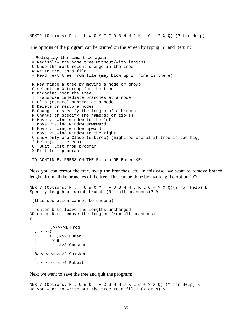NEXT? (Options:  $R = U W O M T F D B N H J K L C + ? X Q$ ) (? for Help)

The options of the program can be printed on the screen by typing "?" and Return:

. Redisplay the same tree again = Redisplay the same tree without/with lengths U Undo the most recent change in the tree W Write tree to a file + Read next tree from file (may blow up if none is there) R Rearrange a tree by moving a node or group O select an Outgroup for the tree M Midpoint root the tree T Transpose immediate branches at a node F Flip (rotate) subtree at a node D Delete or restore nodes B Change or specify the length of a branch N Change or specify the name(s) of  $tip(s)$  H Move viewing window to the left J Move viewing window downward K Move viewing window upward L Move viewing window to the right C show only one Clade (subtree) (might be useful if tree is too big) ? Help (this screen) Q (Quit) Exit from program X Exit from program

TO CONTINUE, PRESS ON THE Return OR Enter KEY

Now you can reroot the tree, swap the branches, etc. In this case, we want to remove branch lenghts from all the branches of the tree. This can be done by invoking the option "b":

NEXT? (Options:  $R = U W O M T F D B N H J K L C + ? X Q$ ) (? for Help) b Specify length of which branch (0 = all branches)? 0 (this operation cannot be undone) enter U to leave the lengths unchanged OR enter R to remove the lengths from all branches: r ,>>>>>1:Frog ,>>>>>7 ! ! ,>>2:Human ! `>>8 ! `>>3:Opossum ! --6>>>>>>>>>>>4:Chicken ! `>>>>>>>>>>>5:Rabbit

Next we want to save the tree and quit the program:

NEXT? (Options: R . U W O T F D B N H J K L C + ? X Q) (? for Help) x Do you want to write out the tree to a file? (Y or N) y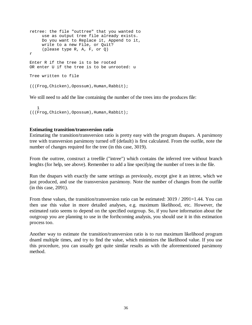```
retree: the file "outtree" that you wanted to 
      use as output tree file already exists. 
      Do you want to Replace it, Append to it, 
      write to a new File, or Quit? 
      (please type R, A, F, or Q) 
r 
Enter R if the tree is to be rooted 
OR enter U if the tree is to be unrooted: u 
Tree written to file 
(((Frog,Chicken),Opossum),Human,Rabbit);
```
We still need to add the line containing the number of the trees into the produces file:

```
 1 
(((Frog,Chicken),Opossum),Human,Rabbit);
```
#### **Estimating transition/transversion ratio**

Estimating the transition/transversion ratio is pretty easy with the program dnapars. A parsimony tree with transversion parsimony turned off (default) is first calculated. From the outfile, note the number of changes required for the tree (in this case, 3019).

From the outtree, construct a treefile ("intree") which contains the inferred tree without branch lenghts (for help, see above). Remember to add a line specifying the number of trees in the file.

Run the dnapars with exactly the same settings as previously, except give it an intree, which we just produced, and use the transversion parsimony. Note the number of changes from the outfile (in this case, 2091).

From these values, the transition/transversion ratio can be estimated: 3019 / 2091=1.44. You can then use this value in more detailed analyses, e.g. maximum likelihood, etc. However, the estimated ratio seems to depend on the specified outgroup. So, if you have information about the outgroup you are planning to use in the forthcoming analysis, you should use it in this estimation process too.

Another way to estimate the transition/transversion ratio is to run maximum likelihood program dnaml multiple times, and try to find the value, which minimizes the likelihood value. If you use this procedure, you can usually get quite similar results as with the aforementioned parsimony method.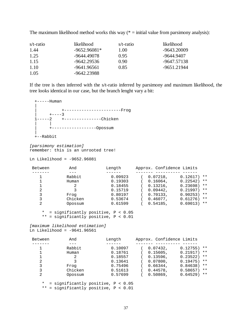| The maximum likelihood method works this way $(*)$ = initial value from parsimony analysis): |  |  |  |  |  |  |
|----------------------------------------------------------------------------------------------|--|--|--|--|--|--|
|                                                                                              |  |  |  |  |  |  |

| s/t-ratio | likelihood     | s/t-ratio | likelihood  |
|-----------|----------------|-----------|-------------|
| 1.44      | $-9652.96081*$ | 1.00      | -9643.20009 |
| 1.25      | -9644.49078    | 0.95      | -9644.9407  |
| 1.15      | -9642.29536    | 0.90      | -9647.57138 |
| 1.10      | -9641.96561    | 0.85      | -9651.21944 |
| 1.05      | -9642.23988    |           |             |

If the tree is then inferred with the s/t-ratio inferred by parsimony and maximum likelihood, the tree looks identical in our case, but the branch lenght vary a bit:

 +-----Human | | +-----------------------Frog  $+ - - - -3$  1-----2 +---------------Chicken | | | +------------------Opossum | +--Rabbit

[parsimony estimation] remember: this is an unrooted tree!

Ln Likelihood = -9652.96081

| And     | Length  | Approx. Confidence Limits              |
|---------|---------|----------------------------------------|
|         |         |                                        |
| Rabbit  | 0.09923 | $0.12617$ ) **<br>0.07218,             |
| Human   | 0.19303 | $0.22542$ **<br>$0.16064$ ,            |
|         | 0.18455 | $0.23698$ <sup>**</sup><br>$0.13216$ , |
| κ       | 0.15719 | $0.21997$ **<br>0.09442.               |
| Frog    | 0.80197 | 0.70133,<br>0.90253)<br>**             |
| Chicken | 0.53674 | $0.46077$ ,<br>0.61276)<br>$***$       |
| Opossum | 0.61599 | 0.69013)<br>$0.54185$ ,<br>$***$       |
|         |         |                                        |

 \* = significantly positive, P < 0.05 \*\* = significantly positive, P < 0.01

[maximum likelihood estimation] Ln Likelihood = -9641.96561

| Between  | And                                                                           | Length  | Approx. Confidence Limits        |
|----------|-------------------------------------------------------------------------------|---------|----------------------------------|
|          |                                                                               |         |                                  |
|          | Rabbit                                                                        | 0.10097 | 0.12755)<br>$***$<br>0.07432,    |
|          | Human                                                                         | 0.18761 | 0.21917)<br>$0.15605$ ,<br>$***$ |
|          | 2                                                                             | 0.18557 | $0.13596$ ,<br>0.23522)<br>$***$ |
| 2        | 3                                                                             | 0.13641 | 0.19475)<br>0.07800,<br>$***$    |
| 3        | Frog                                                                          | 0.75496 | 0.66344,<br>0.84638)<br>$***$    |
| 3        | Chicken                                                                       | 0.51613 | 0.44578,<br>0.58657<br>$***$     |
| 2        | Opossum                                                                       | 0.57699 | $0.50869$ ,<br>0.64529)<br>$***$ |
| $^\star$ | = significantly positive, $P < 0.05$<br>** = significantly positive, P < 0.01 |         |                                  |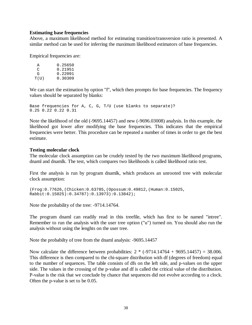#### **Estimating base frequencies**

Above, a maximum likelihood method for estimating transition/transversion ratio is presented. A similar method can be used for inferring the maximum likelihood estimators of base frequencies.

Empirical frequencies are:

| A    | 0.25650 |
|------|---------|
| ◠    | 0.21951 |
| G    | 0.22091 |
| T(U) | 0.30309 |

We can start the estimation by option "f", which then prompts for base frequencies. The frequency values should be separated by blanks:

Base frequencies for A, C, G, T/U (use blanks to separate)? 0.25 0.22 0.22 0.31

Note the likelihood of the old (-9695.14457) and new (-9696.03008) analysis. In this example, the likelihood got lower after modifying the base frequencies. This indicates that the empirical frequencies were better. This procedure can be repeated a number of times in order to get the best estimate.

#### **Testing molecular clock**

The molecular clock assumption can be crudely tested by the two maximum likelihood programs, dnaml and dnamlk. The test, which compares two likelihoods is called likelihood ratio test.

First the analysis is run by program dnamlk, which produces an unrooted tree with molecular clock assumption:

```
(Frog:0.77626,(Chicken:0.63785,(Opossum:0.49812,(Human:0.15025, 
Rabbit:0.15025):0.34787):0.13973):0.13842);
```
Note the probability of the tree: -9714.14764.

The program dnaml can readily read in this treefile, which has first to be named "intree". Remember to run the analysis with the user tree option ("u") turned on. You should also run the analysis without using the lenghts on the user tree.

Note the probabilty of tree from the dnaml analysis: -9695.14457

Now calculate the difference between probabilities:  $2 * (-9714.14764 + 9695.14457) = 38.006$ . This difference is then compared to the chi-square distribution with df (degrees of freedom) equal to the number of sequences. The table consists of dfs on the left side, and p-values on the upper side. The values in the crossing of the p-value and df is called the critical value of the distribution. P-value is the risk that we conclude by chance that sequences did not evolve according to a clock. Often the p-value is set to be 0.05.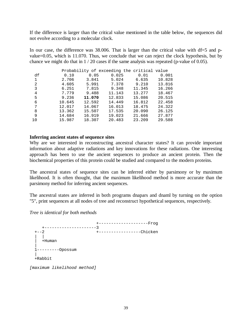If the difference is larger than the critical value mentioned in the table below, the sequences did not evolve according to a molecular clock.

In our case, the difference was 38.006. That is larger than the critical value with df=5 and pvalue=0.05, which is 11.070. Thus, we conclude that we can reject the clock hypothesis, but by chance we might do that in  $1/20$  cases if the same analysis was repeated (p-value of 0.05).

|    |        |        | Probability of exceeding the critical value |        |        |
|----|--------|--------|---------------------------------------------|--------|--------|
| df | 0.10   | 0.05   | 0.025                                       | 0.01   | 0.001  |
| 1  | 2.706  | 3.841  | 5.024                                       | 6.635  | 10.828 |
| 2  | 4.605  | 5.991  | 7.378                                       | 9.210  | 13.816 |
| 3  | 6.251  | 7.815  | 9.348                                       | 11.345 | 16.266 |
| 4  | 7.779  | 9.488  | 11.143                                      | 13.277 | 18.467 |
| 5  | 9.236  | 11.070 | 12.833                                      | 15.086 | 20.515 |
| 6  | 10.645 | 12.592 | 14.449                                      | 16.812 | 22.458 |
| 7  | 12.017 | 14.067 | 16.013                                      | 18.475 | 24.322 |
| 8  | 13.362 | 15.507 | 17.535                                      | 20.090 | 26.125 |
| 9  | 14.684 | 16.919 | 19.023                                      | 21.666 | 27.877 |
| 10 | 15.987 | 18.307 | 20.483                                      | 23.209 | 29.588 |

#### **Inferring ancient states of sequence sites**

Why are we interested in reconstructing ancestral character states? It can provide important information about adaptive radiations and key innovations for these radiations. One interesting approach has been to use the ancient sequences to produce an ancient protein. Then the biochemical properties of this protein could be studied and compared to the modern proteins.

The ancestral states of sequence sites can be inferred either by parsimony or by maximum likelihood. It is often thought, that the maximum likelihood method is more accurate than the parsimony method for inferring ancient sequences.

The ancestral states are inferred in both programs dnapars and dnaml by turning on the option "5", print sequences at all nodes of tree and reconstruct hypothetical sequences, respectively.

*Tree is identical for both methods* 

+--------------------Frog<br>--3 +---------------------3 +--2 +-----------------Chicken | | | +Human | 1---------Opossum | +Rabbit [maximum likelihood method]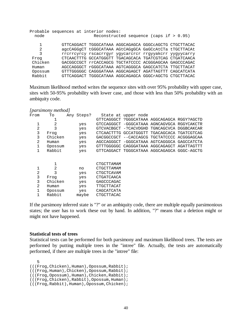|         | Probable sequences at interior nodes: |  |                                                        |  |
|---------|---------------------------------------|--|--------------------------------------------------------|--|
| node    |                                       |  | Reconstructed sequence (caps if $> 0.95$ )             |  |
|         |                                       |  |                                                        |  |
| 1       |                                       |  | GTTCAGGACT TGGGCATAAA AGGCAGAGCA GGGCCAGCTG CTGCTTACAC |  |
| 2       |                                       |  | agcCAGGgCT tGGGCATAAA AGtCAGgGCA GaGCcAtCTa tTGCTTACAt |  |
| 3       |                                       |  | rrcrrcyrcy rscacrrqyr yqycarcrcr rrqyyakcrr yyqyycarry |  |
| Frog    |                                       |  | CTCAACTTTG GCCATGGGTT TGACAGCACA TGATCGTCAG CTGATCAACA |  |
| Chicken |                                       |  | GACGGCCGCT rrCACCAGCG TGCTATCCCC ACGGGAGCAA GAGCCCAGAC |  |
| Human   |                                       |  | AGCCAGGGCT rGGGCATAAA AGTCAGGGCA GAGCCATCTA TTGCTTACAT |  |
| Opossum |                                       |  | GTTTGGGGGC CAGGGATAAA AGGCAGAGCT AGATTAGTTT CAGCATCATA |  |
| Rabbit  |                                       |  | GTTCAGGACT TGGGCATAAA AGGCAGAGCA GGGCrAGCTG CTGCTTACAC |  |

Maximum likelihood method writes the sequence sites with over 95% probability with upper case, sites with 50-95% probability with lower case, and those with less than 50% probability with an ambiquity code.

|               | [parsimony method] |            |                   |                     |                                             |  |
|---------------|--------------------|------------|-------------------|---------------------|---------------------------------------------|--|
| From          | To                 | Any Steps? |                   | State at upper node |                                             |  |
|               |                    |            |                   |                     | GTTCAGGGCT ?GGGCATAAA AGGCAGAGCA RGGY?AGCTD |  |
|               | 2                  | yes        | GTCCAGGGCT        |                     | -GGGCATAAA AGNCAGVGCA RGGYCAKCTR            |  |
| 2             | 3                  | yes        | GTCVACBGCT        |                     | -?CACVDGHD TGNCAGCVCA DGGBCAKCAR            |  |
| 3             | Froq               | yes        | CTCAACTTTG        |                     | GCCATGGGTT TGACAGCACA TGATCGTCAG            |  |
| 3             | Chicken            | yes        | GACGGCCGCT        |                     | --CACCAGCG TGCTATCCCC ACGGGAGCAA            |  |
| $\mathcal{D}$ | Human              | yes        | AGCCAGGGCT        |                     | -GGGCATAAA AGTCAGGGCA GAGCCATCTA            |  |
|               | Opossum            | yes        | GTTTGGGGGC        |                     | CAGGGATAAA AGGCAGAGCT AGATTAGTTT            |  |
|               | Rabbit             | yes        |                   |                     | GTTCAGGACT TGGGCATAAA AGGCAGAGCA GGGC-AGCTG |  |
|               |                    |            |                   |                     |                                             |  |
|               |                    |            | CTGCTTAMAM        |                     |                                             |  |
|               | 2                  | no         | CTGCTTAMAM        |                     |                                             |  |
| 2             | 3                  | yes        | CTGCTCAVAM        |                     |                                             |  |
| 3             | Frog               | yes        | <b>CTGATCAACA</b> |                     |                                             |  |
| 3             | Chicken            | yes        | GAGCCCAGAC        |                     |                                             |  |
| 2             | Human              | yes        | TTGCTTACAT        |                     |                                             |  |
|               | Opossum            | yes        | CAGCATCATA        |                     |                                             |  |
|               | Rabbit             | maybe      | CTGCTTACAC        |                     |                                             |  |

If the parsimony inferred state is "?" or an ambiquity code, there are multiple equally parsimonious states; the user has to work these out by hand. In addition, "?" means that a deletion might or might not have happened.

#### **Statistical tests of trees**

Statistical tests can be performed for both parsimony and maximum likelihood trees. The tests are performed by putting multiple trees in the "intree" file. Actually, the tests are automatically performed, if there are multiple trees in the "intree" file:

 5 (((Frog,Chicken),Human),Opossum,Rabbit); (((Frog,Human),Chicken),Opossum,Rabbit); (((Frog,Opossum),Human),Chicken,Rabbit); (((Frog,Chicken),Rabbit),Opossum,Human); (((Frog,Rabbit),Human),Opossum,Chicken);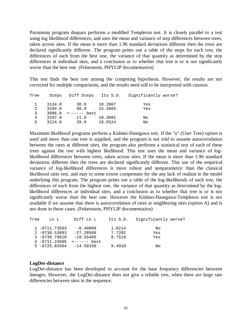Parsimony program dnapars performs a modified Templeton test. It is closely parallel to a test using log likelihood differences, and uses the mean and variance of step differences between trees, taken across sites. If the mean is more than 1.96 standard deviations different then the trees are declared significantly different. The program prints out a table of the steps for each tree, the differences of each from the best one, the variance of that quantity as determined by the step differences at individual sites, and a conclusion as to whether that tree is or is not significantly worse than the best one. (Felsenstein, PHYLIP documentation)

This test finds the best tree among the competing hypothesis. However, the results are not corrected for multiple comparisons, and the results need still to be interpreted with causion.

| Tree | Steps  | Diff Steps | Its S.D. | Significantly worse? |
|------|--------|------------|----------|----------------------|
|      | 3134.0 | 38.0       | 18.2807  | Yes                  |
| 2    | 3194.0 | 98.0       | 15.3665  | Yes                  |
| 3    | 3096.0 |            |          |                      |
| 4    | 3107.0 | 11.0       | 18.3081  | Νo                   |
| 5    | 3124.0 | 28.0       | 18.5524  | No                   |

Maximum likelihood programs perform a Kishino-Hasegawa test. If the "u" (User Tree) option is used and more than one tree is supplied, and the program is not told to assume autocorrelation between the rates at different sites, the program also performs a statistical test of each of these trees against the one with highest likelihood. This test uses the mean and variance of loglikelihood differences between trees, taken across sites. If the mean is more than 1.96 standard deviations different then the trees are declared significantly different. This use of the empirical variance of log-likelihood differences is more robust and nonparametric than the classical likelihood ratio test, and may to some extent compensate for the any lack of realism in the model underlying this program. The program prints out a table of the log-likelihoods of each tree, the differences of each from the highest one, the variance of that quantity as determined by the loglikelihood differences at individual sites, and a conclusion as to whether that tree is or is not significantly worse than the best one. However the Kishino-Hasegawa-Templeton test is not available if we assume that there is autocorrelation of rates at neighboring sites (option A) and is not done in those cases. (Felsenstein, PHYLIP documentation)

| Tree | T.n T.           | Diff Ln L                   | Its S.D. | Significantly worse? |
|------|------------------|-----------------------------|----------|----------------------|
|      | 1 -9711.73593    | -0.49089                    | 1.0214   | No                   |
|      | $2 - 9738.53093$ | $-27.28588$                 | 7.7202   | Yes                  |
|      | 3 -9730.79910    | -19.55405                   | 8.7519   | Yes                  |
|      | 4 -9711.24505    | <------ best                |          |                      |
|      |                  | $5 - 9725.82664 - 14.58159$ | 9.4918   | Νo                   |

#### **LogDet-distance**

LogDet-distance has been developed to account for the base frequency differencies between lineages. However, the LogDet-distance does not give a reliable tree, when there are large rate differencies between sites in the sequence.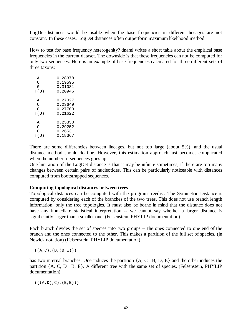LogDet-distances would be usable when the base frequencies in different lineages are not constant. In these cases, LogDet distances often outperform maximum likelihood method.

How to test for base frequency heterogenity? dnaml writes a short table about the empirical base frequencies in the current dataset. The downside is that these frequencies can not be computed for only two sequences. Here is an example of base frequencies calculated for three different sets of three taxons:

| А    | 0.28378 |
|------|---------|
| C    | 0.19595 |
| G    | 0.31081 |
| T(U) | 0.20946 |
| A    | 0.27027 |
| C    | 0.23649 |
| G    | 0.27703 |
| T(U) | 0.21622 |
| A    | 0.25850 |
| C    | 0.29252 |
| G    | 0.26531 |
| T(U) | 0.18367 |

There are some differencies between lineages, but not too large (about 5%), and the usual distance method should do fine. However, this estimation approach fast becomes complicated when the number of sequences goes up.

One limitation of the LogDet distance is that it may be infinite sometimes, if there are too many changes between certain pairs of nucleotides. This can be particularly noticeable with distances computed from bootstrapped sequences.

#### **Computing topological distances between trees**

Topological distances can be computed with the program treedist. The Symmetric Distance is computed by considering each of the branches of the two trees. This does not use branch length information, only the tree topologies. It must also be borne in mind that the distance does not have any immediate statistical interpretation -- we cannot say whether a larger distance is significantly larger than a smaller one. (Felsenstein, PHYLIP documentation)

Each branch divides the set of species into two groups -- the ones connected to one end of the branch and the ones connected to the other. This makes a partition of the full set of species. (in Newick notation) (Felsenstein, PHYLIP documentation)

 $((A, C), (D, (B, E)))$ 

has two internal branches. One induces the partition {A, C | B, D, E} and the other induces the partition  $\{A, C, D \mid B, E\}$ . A different tree with the same set of species, (Felsenstein, PHYLIP documentation)

 $(( (A, D), C), (B, E)))$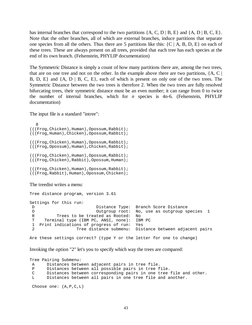has internal branches that correspond to the two partitions  $\{A, C, D \mid B, E\}$  and  $\{A, D \mid B, C, E\}$ . Note that the other branches, all of which are external branches, induce partitions that separate one species from all the others. Thus there are 5 partitions like this:  $\{C \mid A, B, D, E\}$  on each of these trees. These are always present on all trees, provided that each tree has each species at the end of its own branch. (Felsenstein, PHYLIP documentation)

The Symmetric Distance is simply a count of how many partitions there are, among the two trees, that are on one tree and not on the other. In the example above there are two partitions,  ${A, C}$ B, D, E} and {A, D | B, C, E}, each of which is present on only one of the two trees. The Symmetric Distance between the two trees is therefore 2. When the two trees are fully resolved bifurcating trees, their symmetric distance must be an even number; it can range from 0 to twice the number of internal branches, which for *n* species is 4n-6. (Felsenstein, PHYLIP documentation)

The input file is a standard "intree":

```
 8 
(((Frog,Chicken),Human),Opossum,Rabbit); 
(((Frog,Human),Chicken),Opossum,Rabbit); 
(((Frog,Chicken),Human),Opossum,Rabbit); 
(((Frog,Opossum),Human),Chicken,Rabbit); 
(((Frog,Chicken),Human),Opossum,Rabbit); 
(((Frog,Chicken),Rabbit),Opossum,Human); 
(((Frog,Chicken),Human),Opossum,Rabbit); 
(((Frog,Rabbit),Human),Opossum,Chicken);
```
The treedist writes a menu:

```
Tree distance program, version 3.61 
Settings for this run: 
D Distance Type: Branch Score Distance
 O Outgroup root: No, use as outgroup species 1 
 R Trees to be treated as Rooted: No 
 T Terminal type (IBM PC, ANSI, none): IBM PC 
 1 Print indications of progress of run: Yes 
 2 Tree distance submenu: Distance between adjacent pairs
```
Are these settings correct? (type Y or the letter for one to change)

Invoking the option "2" let's you to specify which way the trees are compared:

Tree Pairing Submenu: A Distances between adjacent pairs in tree file. P Distances between all possible pairs in tree file. C Distances between corresponding pairs in one tree file and other.<br>
L Distances between all pairs in one tree file and another. Distances between all pairs in one tree file and another. Choose one: (A,P,C,L)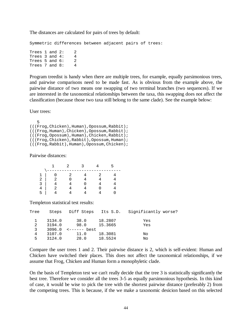The distances are calculated for pairs of trees by default:

Symmetric differences between adjacent pairs of trees:

Trees  $1$  and  $2: 2$ Trees 3 and 4: 4 Trees 5 and  $6: 2$ <br>Trees 7 and  $8: 4$ Trees 7 and 8: 4

Program treedist is handy when there are multiple trees, for example, equally parsimonious trees, and pairwise comparisons need to be made fast. As is obvious from the example above, the pairwise distance of two means one swapping of two terminal branches (two sequences). If we are interested in the taxonomical relationships between the taxa, this swapping does not affect the classification (because those two taxa still belong to the same clade). See the example below:

#### User trees:

```
 5 
(((Frog,Chicken),Human),Opossum,Rabbit); 
(((Frog,Human),Chicken),Opossum,Rabbit); 
(((Frog,Opossum),Human),Chicken,Rabbit); 
(((Frog,Chicken),Rabbit),Opossum,Human); 
(((Frog,Rabbit),Human),Opossum,Chicken);
```
Pairwise distances:

| 1            |                |  |  |
|--------------|----------------|--|--|
| 2            | $\overline{2}$ |  |  |
| ς            |                |  |  |
|              |                |  |  |
| $\mathbf{h}$ |                |  |  |
|              |                |  |  |

Templeton statistical test results:

| Tree | Steps  | Diff Steps | Its S.D. | Significantly worse? |
|------|--------|------------|----------|----------------------|
|      | 3134.0 | 38.0       | 18.2807  | Yes                  |
| 2    | 3194.0 | 98.0       | 15.3665  | Yes                  |
| 3    | 3096.0 |            |          |                      |
| 4    | 3107.0 | 11.0       | 18.3081  | No                   |
| 5    | 3124.0 | 28.0       | 18.5524  | No                   |

Compare the user trees 1 and 2. Their pairwise distance is 2, which is self-evident: Human and Chicken have switched their places. This does not affect the taxonomical relationships, if we assume that Frog, Chicken and Human form a monophyletic clade.

On the basis of Templeton test we can't really decide that the tree 3 is statistically significantly the best tree. Therefore we consider all the trees 3-5 as equally parsimonious hypothesis. In this kind of case, it would be wise to pick the tree with the shortest pairwise distance (preferably 2) from the competing trees. This is because, if the we make a taxonomic desicion based on this selected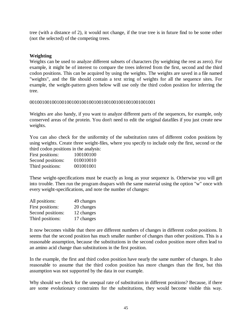tree (with a distance of 2), it would not change, if the true tree is in future find to be some other (not the selected) of the competing trees.

## **Weighting**

Weights can be used to analyze different subsets of characters (by weighting the rest as zero). For example, it might be of interest to compare the trees inferred from the first, second and the third codon positions. This can be acquired by using the weights. The weights are saved in a file named "weights", and the file should contain a text string of weights for all the sequence sites. For example, the weight-pattern given below will use only the third codon position for inferring the tree.

#### 001001001001001001001001001001001001001001001001001

Weights are also handy, if you want to analyze different parts of the sequences, for example, only conserved areas of the protein. You don't need to edit the original datafiles if you just create new weights.

You can also check for the uniformity of the substitution rates of different codon positions by using weights. Create three weight-files, where you specify to include only the first, second or the third codon positions in the analysis:

| First positions:  | 100100100 |
|-------------------|-----------|
| Second positions: | 010010010 |
| Third positions:  | 001001001 |

These weight-specifications must be exactly as long as your sequence is. Otherwise you will get into trouble. Then run the program dnapars with the same material using the option "w" once with every weight-specifications, and note the number of changes:

| All positions:    | 49 changes |
|-------------------|------------|
| First positions:  | 20 changes |
| Second positions: | 12 changes |
| Third positions:  | 17 changes |

It now becomes visible that there are different numbers of changes in different codon positions. It seems that the second position has much smaller number of changes than other positions. This is a reasonable assumption, because the substitutions in the second codon position more often lead to an amino acid change than substitutions in the first position.

In the example, the first and third codon position have nearly the same number of changes. It also reasonable to assume that the third codon position has more changes than the first, but this assumption was not supported by the data in our example.

Why should we check for the unequal rate of substitution in different positions? Because, if there are some evolutionary constraints for the substitutions, they would become visible this way.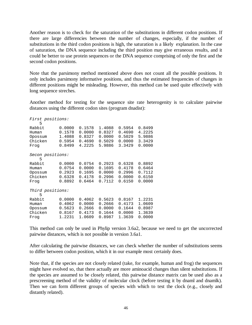Another reason is to check for the saturation of the substitutions in different codon positions. If there are large differencies between the number of changes, especially, if the number of substitutions in the third codon positions is high, the saturation is a likely explanation. In the case of saturation, the DNA sequence including the third position may give erraneous results, and it could be better to use protein sequences or the DNA sequence comprising of only the first and the second codon positions.

Note that the parsimony method mentioned above does not count all the possible positions. It only includes parsimony informative positions, and thus the estimated frequencies of changes in different positions might be misleading. However, this method can be used quite effectively with long sequence streches.

Another method for testing for the sequence site rate heterogenity is to calculate pairwise distances using the different codon sites (program dnadist):

| First positions:<br>5 |        |        |        |        |        |
|-----------------------|--------|--------|--------|--------|--------|
| Rabbit                | 0.0000 | 0.1578 | 1.4088 | 0.5954 | 0.8499 |
| Human                 | 0.1578 | 0.0000 | 0.8327 | 0.4690 | 4.2225 |
| Opossum               | 1.4088 | 0.8327 | 0.0000 | 0.5029 | 5.9886 |
| Chicken               | 0.5954 | 0.4690 | 0.5029 | 0.0000 | 3.3429 |
| Froq                  | 0.8499 | 4.2225 | 5.9886 | 3.3429 | 0.0000 |
| Secon positions:<br>5 |        |        |        |        |        |
| Rabbit                | 0.0000 | 0.0754 | 0.2923 | 0.6328 | 0.8892 |
| Human                 | 0.0754 | 0.0000 | 0.1695 | 0.4178 | 0.6464 |
| Opossum               | 0.2923 | 0.1695 | 0.0000 | 0.2996 | 0.7112 |
| Chicken               | 0.6328 | 0.4178 | 0.2996 | 0.0000 | 0.6150 |
| Froq                  | 0.8892 | 0.6464 | 0.7112 | 0.6150 | 0.0000 |
| Third positions:<br>5 |        |        |        |        |        |
| Rabbit                | 0.0000 | 0.4062 | 0.5623 | 0.8167 | 1.2231 |
| Human                 | 0.4062 | 0.0000 | 0.2666 | 0.4173 | 1.0609 |
| Opossum               | 0.5623 | 0.2666 | 0.0000 | 0.1644 | 0.8987 |
| Chicken               | 0.8167 | 0.4173 | 0.1644 | 0.0000 | 1.3639 |
| Froq                  | 1.2231 | 1.0609 | 0.8987 | 1.3639 | 0.0000 |

This method can only be used in Phylip version 3.6a2, because we need to get the uncorrected pairwise distances, which is not possible in version 3.6a1.

After calculating the pairwise distances, we can check whether the number of substitutions seems to differ between codon position, which it in our example most certainly does.

Note that, if the species are not closely related (take, for example, human and frog) the sequences might have evolved so, that there actually are more aminoacid changes than silent substitutions. If the species are assumed to be closely related, this pairwise distance matrix can be used also as a prescreening method of the validity of molecular clock (before testing it by dnaml and dnamlk). Then we can form different groups of species with which to test the clock (e.g., closely and distantly related).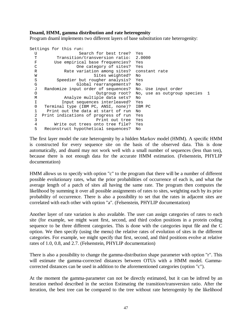#### **Dnaml, HMM, gamma distribution and rate heterogenity**

Program dnaml implements two different layers of base substitution rate heterogenity:

```
Settings for this run: 
  U Search for best tree? Yes 
 T Transition/transversion ratio: 2.0000
  F Use empirical base frequencies? Yes 
  C One category of sites? Yes 
  R Rate variation among sites? constant rate 
 W Sites weighted? No
 S Speedier but rougher analysis? Yes
  G Global rearrangements? No 
  J Randomize input order of sequences? No. Use input order 
  O Outgroup root? No, use as outgroup species 1 
  M Analyze multiple data sets? No 
  I Input sequences interleaved? Yes 
  0 Terminal type (IBM PC, ANSI, none)? IBM PC 
  1 Print out the data at start of run No 
  2 Print indications of progress of run Yes 
  3 Print out tree Yes 
  4 Write out trees onto tree file? Yes 
  5 Reconstruct hypothetical sequences? No
```
The first layer model the rate heterogenity by a hidden Markov model (HMM). A specific HMM is constructed for every sequence site on the basis of the observed data. This is done automatically, and dnaml may not work well with a small number of sequences (less than ten), because there is not enough data for the accurate HMM estimation. (Felsenstein, PHYLIP documentation)

HMM allows us to specify with option "c" to the program that there will be a number of different possible evolutionary rates, what the prior probabilities of occurrence of each is, and what the average length of a patch of sites all having the same rate. The program then computes the likelihood by summing it over all possible assignments of rates to sites, weighting each by its prior probability of occurrence. There is also a possibility to set that the rates in adjacent sites are correlated with each other with option "a". (Felsenstein, PHYLIP documentation)

Another layer of rate variation is also available. The user can assign categories of rates to each site (for example, we might want first, second, and third codon positions in a protein coding sequence to be three different categories. This is done with the categories input file and the C option. We then specify (using the menu) the relative rates of evolution of sites in the different categories. For example, we might specify that first, second, and third positions evolve at relative rates of 1.0, 0.8, and 2.7. (Felsenstein, PHYLIP documentation)

There is also a possibility to change the gamma-distribution shape parameter with option "r". This will estimate the gamma-corrected distances between OTUs with a HMM model. Gammacorrected distances can be used in addition to the aforementioned categories (option "c").

At the moment the gamma-parameter can not be directly estimated, but it can be infrred by an iteration method described in the section Estimating the transition/transversion ratio. After the iteration, the best tree can be compared to the tree without rate heterogenity by the likelihood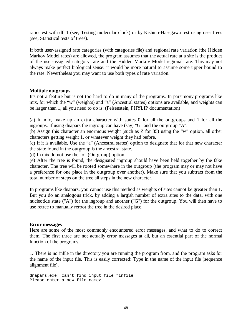ratio test with df=1 (see, Testing molecular clock) or by Kishino-Hasegawa test using user trees (see, Statistical tests of trees).

If both user-assigned rate categories (with categories file) and regional rate variation (the Hidden Markov Model rates) are allowed, the program assumes that the actual rate at a site is the product of the user-assigned category rate and the Hidden Markov Model regional rate. This may not always make perfect biological sense: it would be more natural to assume some upper bound to the rate. Nevertheless you may want to use both types of rate variation.

#### **Multiple outgroups**

It's not a feature but is not too hard to do in many of the programs. In parsimony programs like mix, for which the "w" (weights) and "a" (Ancestral states) options are available, and weights can be larger than 1, all you need to do is: (Felsenstein, PHYLIP documentation)

(a) In mix, make up an extra character with states 0 for all the outgroups and 1 for all the ingroups. If using dnapars the ingroup can have (say) "G" and the outgroup "A".

(b) Assign this character an enormous weight (such as Z for 35) using the "w" option, all other characters getting weight 1, or whatever weight they had before.

(c) If it is available, Use the "a" (Ancestral states) option to designate that for that new character the state found in the outgroup is the ancestral state.

(d) In mix do not use the "o" (Outgroup) option.

(e) After the tree is found, the designated ingroup should have been held together by the fake character. The tree will be rooted somewhere in the outgroup (the program may or may not have a preference for one place in the outgroup over another). Make sure that you subtract from the total number of steps on the tree all steps in the new character.

In programs like dnapars, you cannot use this method as weights of sites cannot be greater than 1. But you do an analogous trick, by adding a largish number of extra sites to the data, with one nucleotide state ("A") for the ingroup and another ("G") for the outgroup. You will then have to use retree to manually reroot the tree in the desired place.

#### **Error messages**

Here are some of the most commonly encountered error messages, and what to do to correct them. The first three are not actually error messages at all, but an essential part of the normal function of the programs.

1. There is no infile in the directory you are running the program from, and the program asks for the name of the input file. This is easily corrected: Type in the name of the input file (sequence alignment file).

dnapars.exe: can't find input file "infile" Please enter a new file name>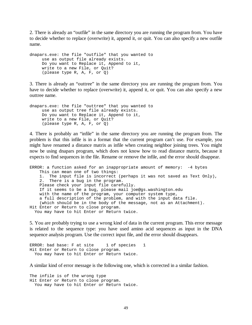2. There is already an "outfile" in the same directory you are running the program from. You have to decide whether to replace (overwrite) it, append it, or quit. You can also specify a new outfile name.

```
dnapars.exe: the file "outfile" that you wanted to 
      use as output file already exists. 
      Do you want to Replace it, Append to it, 
      write to a new File, or Quit? 
      (please type R, A, F, or Q)
```
3. There is already an "outtree" in the same directory you are running the program from. You have to decide whether to replace (overwrite) it, append it, or quit. You can also specify a new outtree name.

dnapars.exe: the file "outtree" that you wanted to use as output tree file already exists. Do you want to Replace it, Append to it, write to a new File, or Quit? (please type R, A, F, or Q)

4. There is probably an "infile" in the same directory you are running the program from. The problem is that this infile is in a format that the current program can't use. For example, you might have renamed a distance matrix as infile when creating neighbor joining trees. You might now be using dnapars program, which does not know how to read distance matrix, because it expects to find sequences in the file. Rename or remove the infile, and the error should disappear.

ERROR: a function asked for an inappropriate amount of memory: -4 bytes This can mean one of two things: 1. The input file is incorrect (perhaps it was not saved as Text Only), 2. There is a bug in the program. Please check your input file carefully. If it seems to be a bug, please mail joe@gs.washington.edu with the name of the program, your computer system type, a full description of the problem, and with the input data file. (which should be in the body of the message, not as an Attachment). Hit Enter or Return to close program. You may have to hit Enter or Return twice.

5. You are probably trying to use a wrong kind of data in the current program. This error message is related to the sequence type: you have used amino acid sequences as input in the DNA sequence analysis program. Use the correct input file, and the error should disappears.

```
ERROR: bad base: F at site 1 of species 1
Hit Enter or Return to close program. 
  You may have to hit Enter or Return twice.
```
A similar kind of error message is the following one, which is corrected in a similar fashion.

The infile is of the wrong type Hit Enter or Return to close program. You may have to hit Enter or Return twice.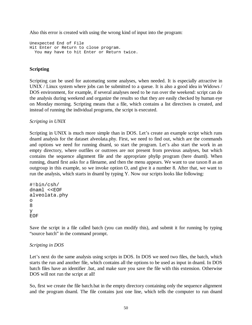Also this error is created with using the wrong kind of input into the program:

Unexpected End of File Hit Enter or Return to close program. You may have to hit Enter or Return twice.

## **Scripting**

Scripting can be used for automating some analyses, when needed. It is especially attractive in UNIX / Linux system where jobs can be submitted to a queue. It is also a good idea in Widows / DOS environment, for example, if several analyses need to be run over the weekend: script can do the analysis during weekend and organize the results so that they are easily checked by human eye on Monday morning. Scripting means that a file, which contains a list directives is created, and instead of running the individual programs, the script is executed.

*Scripting in UNIX* 

Scripting in UNIX is much more simple than in DOS. Let's create an example script which runs dnaml analysis for the dataset alveolata.phy. First, we need to find out, which are the commands and options we need for running dnaml, so start the program. Let's also start the work in an empty directory, where outfiles or outtrees are not present from previous analyses, but which contains the sequence alignment file and the appropriate phylip program (here dnaml). When running, dnaml first asks for a filename, and then the menu appears. We want to use taxon 8 as an outgroup in this example, so we invoke option O, and give it a number 8. After that, we want to run the analysis, which starts in dnaml by typing Y. Now our scripts looks like following:

```
#!bin/csh/ 
dnaml <<EOF
alveolata.phy 
o 
8 
y 
EOF
```
Save the script in a file called batch (you can modify this), and submit it for running by typing "source batch" in the command prompt.

## *Scripting in DOS*

Let's next do the same analysis using scripts in DOS. In DOS we need two files, the batch, which starts the run and another file, which contains all the options to be used as input in dnaml. In DOS batch files have an identifier .bat, and make sure you save the file with this extension. Otherwise DOS will not run the script at all!

So, first we create the file batch.bat in the empty directory containing only the sequence alignment and the program dnaml. The file contains just one line, which tells the computer to run dnaml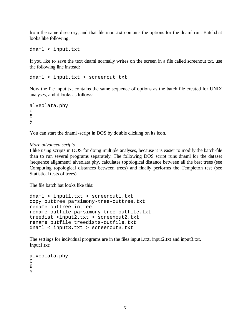from the same directory, and that file input.txt contains the options for the dnaml run. Batch.bat looks like following:

dnaml < input.txt

If you like to save the text dnaml normally writes on the screen in a file called screenout.txt, use the following line instead:

dnaml < input.txt > screenout.txt

Now the file input.txt contains the same sequence of options as the batch file created for UNIX analyses, and it looks as follows:

```
alveolata.phy 
o 
8 
y
```
You can start the dnaml -script in DOS by double clicking on its icon.

#### *More advanced scripts*

I like using scripts in DOS for doing multiple analyses, because it is easier to modify the batch-file than to run several programs separately. The following DOS script runs dnaml for the dataset (sequence alignment) alveolata.phy, calculates topological distance between all the best trees (see Computing topological distances between trees) and finally performs the Templeton test (see Statistical tests of trees).

The file batch.bat looks like this:

```
dnaml < input1.txt > screenout1.txt 
copy outtree parsimony-tree-outtree.txt 
rename outtree intree 
rename outfile parsimony-tree-outfile.txt 
treedist <input2.txt > screenout2.txt 
rename outfile treedists-outfile.txt 
dnaml < input3.txt > screenout3.txt
```
The settings for individual programs are in the files input1.txt, input2.txt and input3.txt. Input1.txt:

```
alveolata.phy 
\Omega8 
Y
```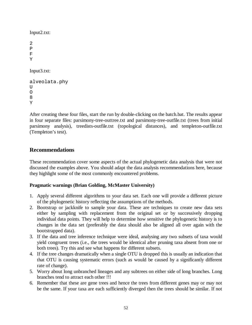Input2.txt:

```
2 
P 
F 
Y 
Input3.txt: 
alveolata.phy 
UO 
8
```
Y

After creating these four files, start the run by double-clicking on the batch.bat. The results appear in four separate files: parsimony-tree-outtree.txt and parsimony-tree-outfile.txt (trees from initial parsimony analysis), treedists-outfile.txt (topological distances), and templeton-outfile.txt (Templeton's test).

## **Recommendations**

These recommendation cover some aspects of the actual phylogenetic data analysis that were not discussed the examples above. You should adapt the data analysis recommendations here, because they highlight some of the most commonly encountered problems.

## **Pragmatic warnings (Brian Golding, McMaster University)**

- 1. Apply several different algorithms to your data set. Each one will provide a different picture of the phylogenetic history reflecting the assumptions of the methods.
- 2. Bootstrap or jackknife to sample your data. These are techniques to create new data sets either by sampling with replacement from the original set or by successively dropping individual data points. They will help to determine how sensitive the phylogenetic history is to changes in the data set (preferably the data should also be aligned all over again with the bootstrapped data).
- 3. If the data and tree inference technique were ideal, analysing any two subsets of taxa would yield congruent trees (i.e., the trees would be identical after pruning taxa absent from one or both trees). Try this and see what happens for different subsets.
- 4. If the tree changes dramatically when a single OTU is dropped this is usually an indication that that OTU is causing systematic errors (such as would be caused by a significantly different rate of change).
- 5. Worry about long unbranched lineages and any subtrees on either side of long branches. Long branches tend to attract each other !!!
- 6. Remember that these are gene trees and hence the trees from different genes may or may not be the same. If your taxa are each sufficiently diverged then the trees should be similar. If not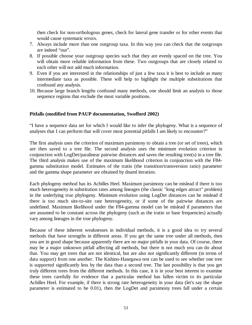then check for non-orthologous genes, check for lateral gene transfer or for other events that would cause systematic errors.

- 7. Always include more than one outgroup taxa. In this way you can check that the outgroups are indeed "out".
- 8. If possible choose your outgroup species such that they are evenly spaced on the tree. You will obtain more reliable information from these. Two outgroups that are closely related to each other will not add much information.
- 9. Even if you are interested in the relationships of just a few taxa it is best to include as many intermediate taxa as possible. These will help to highlight the multiple substitutions that confound any analysis.
- 10. Because large branch lengths confound many methods, one should limit an analysis to those sequence regions that exclude the most variable positions.

#### **Pitfalls (modified from PAUP documentation, Swofford 2002)**

"I have a sequence data set for which I would like to infer the phylogeny. What is a sequence of analyses that I can perform that will cover most potential pitfalls I am likely to encounter?"

The first analysis uses the criterion of maximum parsimony to obtain a tree (or set of trees), which are then saved to a tree file. The second analysis uses the minimum evolution criterion in conjunction with LogDet/paralinear pairwise distances and saves the resulting tree(s) in a tree file. The third analysis makes use of the maximum likelihood criterion in conjunction with the F84 gamma substitution model. Estimates of the tratio (the transition/transversion ratio) parameter and the gamma shape parameter are obtained by dnaml iteration.

Each phylogeny method has its Achilles Heel. Maximum parsimony can be mislead if there is too much heterogeneity in substitution rates among lineages (the classic "long edges attract" problem) in the underlying true phylogeny. Minimum evolution using LogDet distances can be mislead if there is too much site-to-site rate heterogeneity, or if some of the pairwise distances are undefined. Maximum likelihood under the F84-gamma model can be mislead if parameters that are assumed to be constant across the phylogeny (such as the tratio or base frequencies) actually vary among lineages in the true phylogeny.

Because of these inherent weaknesses in individual methods, it is a good idea to try several methods that have strengths in different areas. If you get the same tree under all methods, then you are in good shape because apparently there are no major pitfalls in your data. Of course, there may be a major unknown pitfall affecting all methods, but there is not much you can do about that. You may get trees that are not identical, but are also not significantly different (in terms of data support) from one another. The Kishino-Hasegawa test can be used to see whether one tree is supported significantly less by the data than a second tree. The last possibility is that you get truly different trees from the different methods. In this case, it is in your best interest to examine these trees carefully for evidence that a particular method has fallen victim to its particular Achilles Heel. For example, if there is strong rate heterogeneity in your data (let's say the shape parameter is estimated to be 0.01), then the LogDet and parsimony trees fall under a certain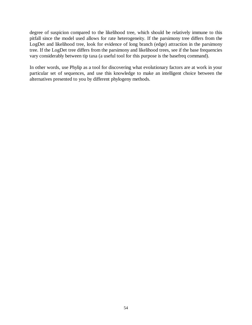degree of suspicion compared to the likelihood tree, which should be relatively immune to this pitfall since the model used allows for rate heterogeneity. If the parsimony tree differs from the LogDet and likelihood tree, look for evidence of long branch (edge) attraction in the parsimony tree. If the LogDet tree differs from the parsimony and likelihood trees, see if the base frequencies vary considerably between tip taxa (a useful tool for this purpose is the basefreq command).

In other words, use Phylip as a tool for discovering what evolutionary factors are at work in your particular set of sequences, and use this knowledge to make an intelligent choice between the alternatives presented to you by different phylogeny methods.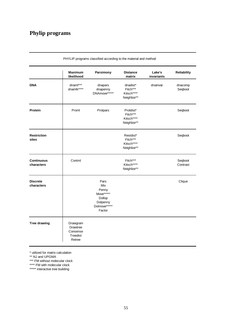## **Phylip programs**

|                                 | <b>Maximum</b><br>likelihood                           | Parsimony                                                                         | <b>Distance</b><br>matrix                         | Lake's<br>invariants | <b>Reliability</b>  |
|---------------------------------|--------------------------------------------------------|-----------------------------------------------------------------------------------|---------------------------------------------------|----------------------|---------------------|
| <b>DNA</b>                      | dnaml***<br>dnamlk****                                 | dnapars<br>dnapenny<br>DNAmove*****                                               | dnadist*<br>Fitch***<br>Kitsch****<br>Neighbor**  | dnainvar             | dnacomp<br>Seqboot  |
| Protein                         | Proml                                                  | Protpars                                                                          | Protdist*<br>Fitch***<br>Kitsch****<br>Neighbor** |                      | Seqboot             |
| <b>Restriction</b><br>sites     |                                                        |                                                                                   | Restdist*<br>Fitch***<br>Kitsch****<br>Neighbor** |                      | Seqboot             |
| <b>Continuous</b><br>characters | Contml                                                 |                                                                                   | Fitch***<br>Kitsch****<br>Neighbor**              |                      | Seqboot<br>Contrast |
| <b>Discrete</b><br>characters   |                                                        | Pars<br>Mix<br>Penny<br>Move*****<br>Dollop<br>Dolpenny<br>Dolmove*****<br>Factor |                                                   |                      | Clique              |
| <b>Tree drawing</b>             | Drawgram<br>Drawtree<br>Consense<br>Treedist<br>Retree |                                                                                   |                                                   |                      |                     |

PHYLIP programs classified according to the material and method

\* utilized for matrix calculation

\*\* NJ and UPGMA

\*\*\* FM without molecular clock

\*\*\*\* FM with molecular clock

\*\*\*\*\* interactive tree building